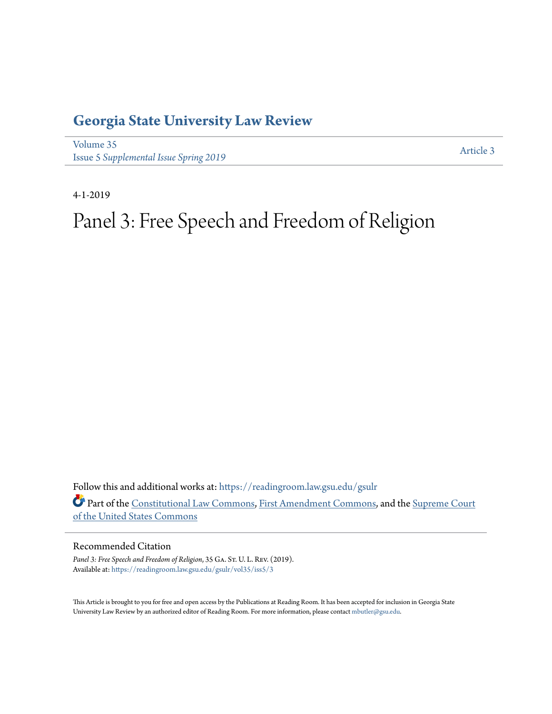## **[Georgia State University Law Review](https://readingroom.law.gsu.edu/gsulr?utm_source=readingroom.law.gsu.edu%2Fgsulr%2Fvol35%2Fiss5%2F3&utm_medium=PDF&utm_campaign=PDFCoverPages)**

[Volume 35](https://readingroom.law.gsu.edu/gsulr/vol35?utm_source=readingroom.law.gsu.edu%2Fgsulr%2Fvol35%2Fiss5%2F3&utm_medium=PDF&utm_campaign=PDFCoverPages) **Issue 5** *[Supplemental Issue Spring 2019](https://readingroom.law.gsu.edu/gsulr/vol35/iss5?utm_source=readingroom.law.gsu.edu%2Fgsulr%2Fvol35%2Fiss5%2F3&utm_medium=PDF&utm_campaign=PDFCoverPages)* [Article 3](https://readingroom.law.gsu.edu/gsulr/vol35/iss5/3?utm_source=readingroom.law.gsu.edu%2Fgsulr%2Fvol35%2Fiss5%2F3&utm_medium=PDF&utm_campaign=PDFCoverPages)

4-1-2019

# Panel 3: Free Speech and Freedom of Religion

Follow this and additional works at: [https://readingroom.law.gsu.edu/gsulr](https://readingroom.law.gsu.edu/gsulr?utm_source=readingroom.law.gsu.edu%2Fgsulr%2Fvol35%2Fiss5%2F3&utm_medium=PDF&utm_campaign=PDFCoverPages) Part of the [Constitutional Law Commons,](http://network.bepress.com/hgg/discipline/589?utm_source=readingroom.law.gsu.edu%2Fgsulr%2Fvol35%2Fiss5%2F3&utm_medium=PDF&utm_campaign=PDFCoverPages) [First Amendment Commons](http://network.bepress.com/hgg/discipline/1115?utm_source=readingroom.law.gsu.edu%2Fgsulr%2Fvol35%2Fiss5%2F3&utm_medium=PDF&utm_campaign=PDFCoverPages), and the [Supreme Court](http://network.bepress.com/hgg/discipline/1350?utm_source=readingroom.law.gsu.edu%2Fgsulr%2Fvol35%2Fiss5%2F3&utm_medium=PDF&utm_campaign=PDFCoverPages) [of the United States Commons](http://network.bepress.com/hgg/discipline/1350?utm_source=readingroom.law.gsu.edu%2Fgsulr%2Fvol35%2Fiss5%2F3&utm_medium=PDF&utm_campaign=PDFCoverPages)

### Recommended Citation

Panel 3: Free Speech and Freedom of Religion, 35 GA. St. U. L. REV. (2019). Available at: [https://readingroom.law.gsu.edu/gsulr/vol35/iss5/3](https://readingroom.law.gsu.edu/gsulr/vol35/iss5/3?utm_source=readingroom.law.gsu.edu%2Fgsulr%2Fvol35%2Fiss5%2F3&utm_medium=PDF&utm_campaign=PDFCoverPages)

This Article is brought to you for free and open access by the Publications at Reading Room. It has been accepted for inclusion in Georgia State University Law Review by an authorized editor of Reading Room. For more information, please contact [mbutler@gsu.edu.](mailto:mbutler@gsu.edu)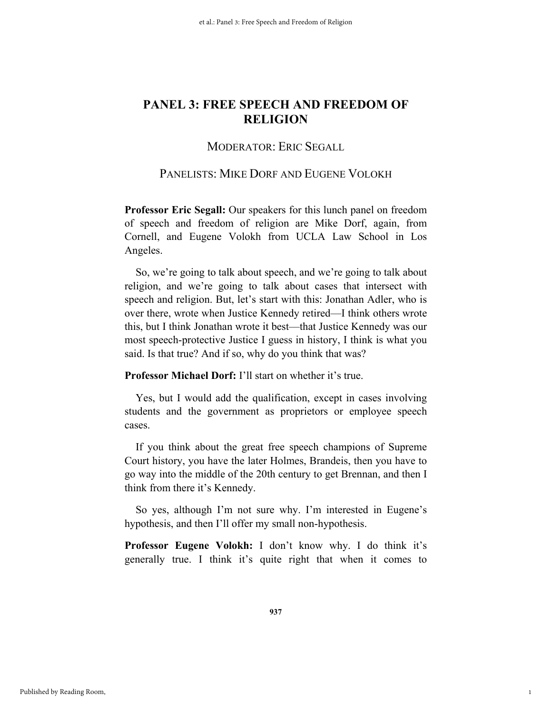## MODERATOR: ERIC SEGALL

## PANELISTS: MIKE DORF AND EUGENE VOLOKH

**Professor Eric Segall:** Our speakers for this lunch panel on freedom of speech and freedom of religion are Mike Dorf, again, from Cornell, and Eugene Volokh from UCLA Law School in Los Angeles.

So, we're going to talk about speech, and we're going to talk about religion, and we're going to talk about cases that intersect with speech and religion. But, let's start with this: Jonathan Adler, who is over there, wrote when Justice Kennedy retired—I think others wrote this, but I think Jonathan wrote it best—that Justice Kennedy was our most speech-protective Justice I guess in history, I think is what you said. Is that true? And if so, why do you think that was?

**Professor Michael Dorf:** I'll start on whether it's true.

Yes, but I would add the qualification, except in cases involving students and the government as proprietors or employee speech cases.

If you think about the great free speech champions of Supreme Court history, you have the later Holmes, Brandeis, then you have to go way into the middle of the 20th century to get Brennan, and then I think from there it's Kennedy.

So yes, although I'm not sure why. I'm interested in Eugene's hypothesis, and then I'll offer my small non-hypothesis.

**Professor Eugene Volokh:** I don't know why. I do think it's generally true. I think it's quite right that when it comes to

1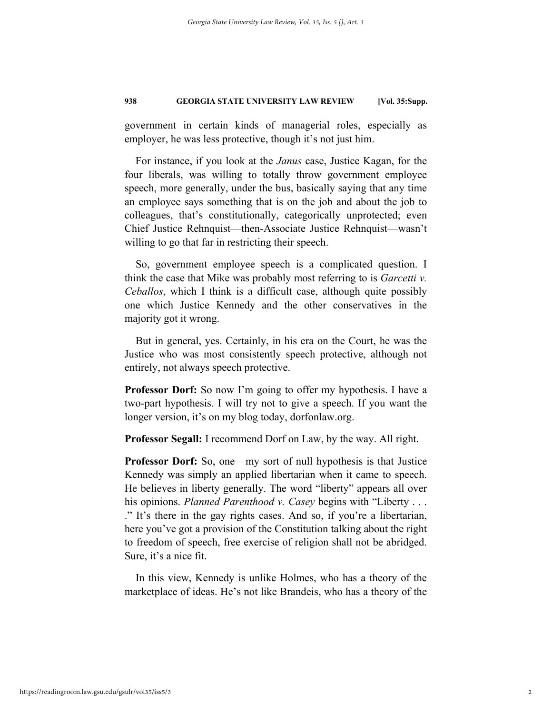government in certain kinds of managerial roles, especially as employer, he was less protective, though it's not just him.

For instance, if you look at the *Janus* case, Justice Kagan, for the four liberals, was willing to totally throw government employee speech, more generally, under the bus, basically saying that any time an employee says something that is on the job and about the job to colleagues, that's constitutionally, categorically unprotected; even Chief Justice Rehnquist—then-Associate Justice Rehnquist—wasn't willing to go that far in restricting their speech.

So, government employee speech is a complicated question. I think the case that Mike was probably most referring to is *Garcetti v. Ceballos*, which I think is a difficult case, although quite possibly one which Justice Kennedy and the other conservatives in the majority got it wrong.

But in general, yes. Certainly, in his era on the Court, he was the Justice who was most consistently speech protective, although not entirely, not always speech protective.

**Professor Dorf:** So now I'm going to offer my hypothesis. I have a two-part hypothesis. I will try not to give a speech. If you want the longer version, it's on my blog today, dorfonlaw.org.

**Professor Segall:** I recommend Dorf on Law, by the way. All right.

**Professor Dorf:** So, one—my sort of null hypothesis is that Justice Kennedy was simply an applied libertarian when it came to speech. He believes in liberty generally. The word "liberty" appears all over his opinions. *Planned Parenthood v. Casey* begins with "Liberty . . . ." It's there in the gay rights cases. And so, if you're a libertarian, here you've got a provision of the Constitution talking about the right to freedom of speech, free exercise of religion shall not be abridged. Sure, it's a nice fit.

In this view, Kennedy is unlike Holmes, who has a theory of the marketplace of ideas. He's not like Brandeis, who has a theory of the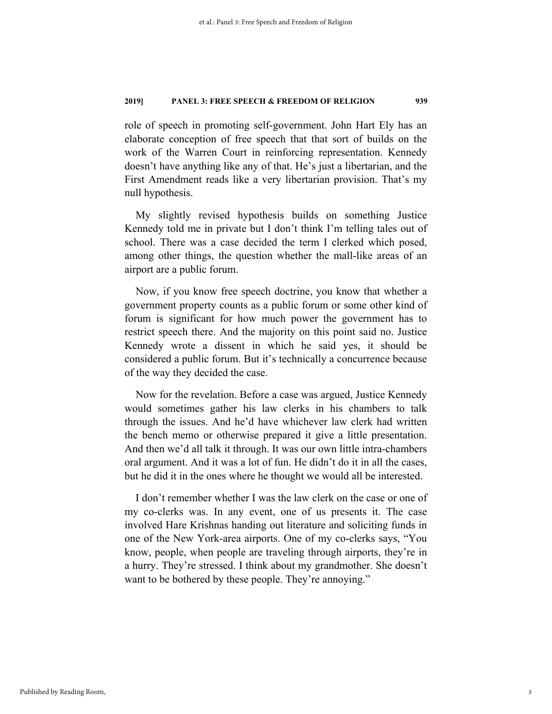role of speech in promoting self-government. John Hart Ely has an elaborate conception of free speech that that sort of builds on the work of the Warren Court in reinforcing representation. Kennedy doesn't have anything like any of that. He's just a libertarian, and the First Amendment reads like a very libertarian provision. That's my null hypothesis.

My slightly revised hypothesis builds on something Justice Kennedy told me in private but I don't think I'm telling tales out of school. There was a case decided the term I clerked which posed, among other things, the question whether the mall-like areas of an airport are a public forum.

Now, if you know free speech doctrine, you know that whether a government property counts as a public forum or some other kind of forum is significant for how much power the government has to restrict speech there. And the majority on this point said no. Justice Kennedy wrote a dissent in which he said yes, it should be considered a public forum. But it's technically a concurrence because of the way they decided the case.

Now for the revelation. Before a case was argued, Justice Kennedy would sometimes gather his law clerks in his chambers to talk through the issues. And he'd have whichever law clerk had written the bench memo or otherwise prepared it give a little presentation. And then we'd all talk it through. It was our own little intra-chambers oral argument. And it was a lot of fun. He didn't do it in all the cases, but he did it in the ones where he thought we would all be interested.

I don't remember whether I was the law clerk on the case or one of my co-clerks was. In any event, one of us presents it. The case involved Hare Krishnas handing out literature and soliciting funds in one of the New York-area airports. One of my co-clerks says, "You know, people, when people are traveling through airports, they're in a hurry. They're stressed. I think about my grandmother. She doesn't want to be bothered by these people. They're annoying."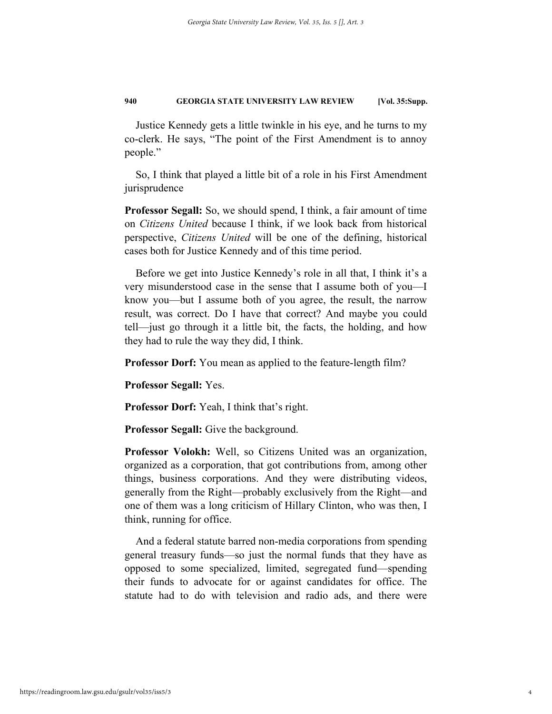Justice Kennedy gets a little twinkle in his eye, and he turns to my co-clerk. He says, "The point of the First Amendment is to annoy people."

So, I think that played a little bit of a role in his First Amendment jurisprudence

**Professor Segall:** So, we should spend, I think, a fair amount of time on *Citizens United* because I think, if we look back from historical perspective, *Citizens United* will be one of the defining, historical cases both for Justice Kennedy and of this time period.

Before we get into Justice Kennedy's role in all that, I think it's a very misunderstood case in the sense that I assume both of you—I know you—but I assume both of you agree, the result, the narrow result, was correct. Do I have that correct? And maybe you could tell—just go through it a little bit, the facts, the holding, and how they had to rule the way they did, I think.

**Professor Dorf:** You mean as applied to the feature-length film?

**Professor Segall:** Yes.

**Professor Dorf:** Yeah, I think that's right.

**Professor Segall:** Give the background.

**Professor Volokh:** Well, so Citizens United was an organization, organized as a corporation, that got contributions from, among other things, business corporations. And they were distributing videos, generally from the Right—probably exclusively from the Right—and one of them was a long criticism of Hillary Clinton, who was then, I think, running for office.

And a federal statute barred non-media corporations from spending general treasury funds—so just the normal funds that they have as opposed to some specialized, limited, segregated fund—spending their funds to advocate for or against candidates for office. The statute had to do with television and radio ads, and there were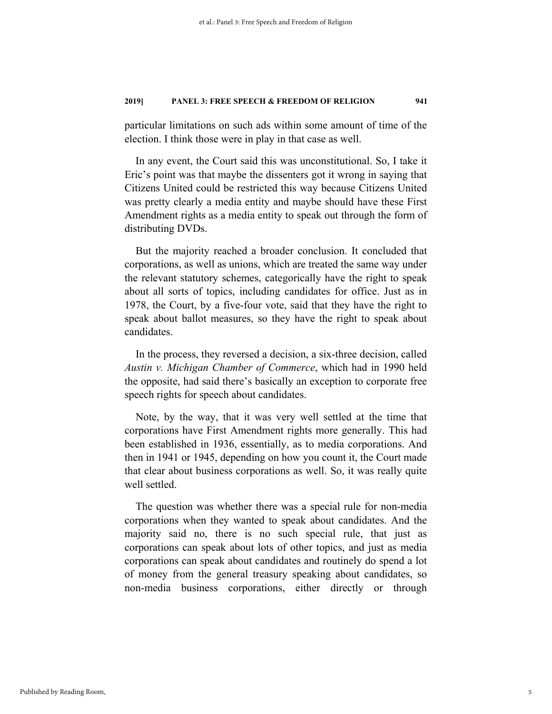particular limitations on such ads within some amount of time of the election. I think those were in play in that case as well.

In any event, the Court said this was unconstitutional. So, I take it Eric's point was that maybe the dissenters got it wrong in saying that Citizens United could be restricted this way because Citizens United was pretty clearly a media entity and maybe should have these First Amendment rights as a media entity to speak out through the form of distributing DVDs.

But the majority reached a broader conclusion. It concluded that corporations, as well as unions, which are treated the same way under the relevant statutory schemes, categorically have the right to speak about all sorts of topics, including candidates for office. Just as in 1978, the Court, by a five-four vote, said that they have the right to speak about ballot measures, so they have the right to speak about candidates.

In the process, they reversed a decision, a six-three decision, called *Austin v. Michigan Chamber of Commerce*, which had in 1990 held the opposite, had said there's basically an exception to corporate free speech rights for speech about candidates.

Note, by the way, that it was very well settled at the time that corporations have First Amendment rights more generally. This had been established in 1936, essentially, as to media corporations. And then in 1941 or 1945, depending on how you count it, the Court made that clear about business corporations as well. So, it was really quite well settled.

The question was whether there was a special rule for non-media corporations when they wanted to speak about candidates. And the majority said no, there is no such special rule, that just as corporations can speak about lots of other topics, and just as media corporations can speak about candidates and routinely do spend a lot of money from the general treasury speaking about candidates, so non-media business corporations, either directly or through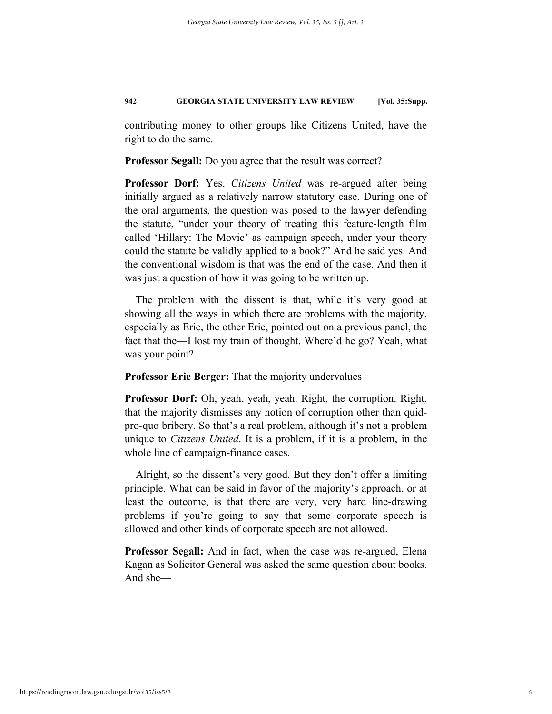contributing money to other groups like Citizens United, have the right to do the same.

**Professor Segall:** Do you agree that the result was correct?

**Professor Dorf:** Yes. *Citizens United* was re-argued after being initially argued as a relatively narrow statutory case. During one of the oral arguments, the question was posed to the lawyer defending the statute, "under your theory of treating this feature-length film called 'Hillary: The Movie' as campaign speech, under your theory could the statute be validly applied to a book?" And he said yes. And the conventional wisdom is that was the end of the case. And then it was just a question of how it was going to be written up.

The problem with the dissent is that, while it's very good at showing all the ways in which there are problems with the majority, especially as Eric, the other Eric, pointed out on a previous panel, the fact that the—I lost my train of thought. Where'd he go? Yeah, what was your point?

**Professor Eric Berger:** That the majority undervalues—

**Professor Dorf:** Oh, yeah, yeah, yeah. Right, the corruption. Right, that the majority dismisses any notion of corruption other than quidpro-quo bribery. So that's a real problem, although it's not a problem unique to *Citizens United*. It is a problem, if it is a problem, in the whole line of campaign-finance cases.

Alright, so the dissent's very good. But they don't offer a limiting principle. What can be said in favor of the majority's approach, or at least the outcome, is that there are very, very hard line-drawing problems if you're going to say that some corporate speech is allowed and other kinds of corporate speech are not allowed.

**Professor Segall:** And in fact, when the case was re-argued, Elena Kagan as Solicitor General was asked the same question about books. And she—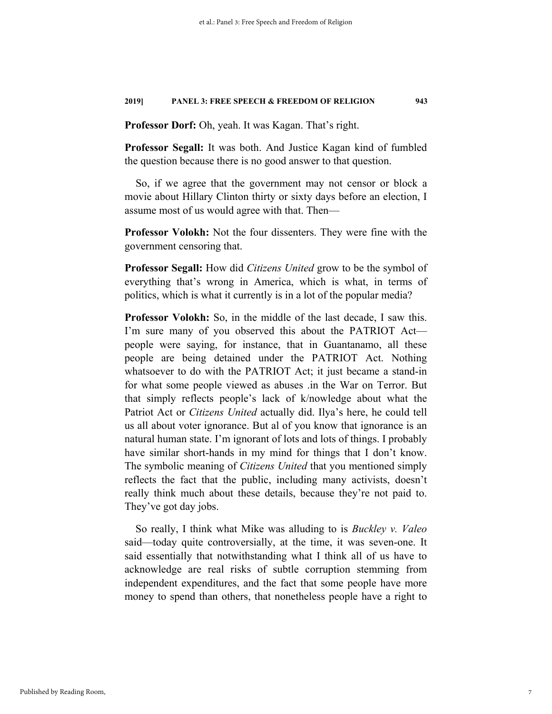**Professor Dorf:** Oh, yeah. It was Kagan. That's right.

**Professor Segall:** It was both. And Justice Kagan kind of fumbled the question because there is no good answer to that question.

So, if we agree that the government may not censor or block a movie about Hillary Clinton thirty or sixty days before an election, I assume most of us would agree with that. Then—

**Professor Volokh:** Not the four dissenters. They were fine with the government censoring that.

**Professor Segall:** How did *Citizens United* grow to be the symbol of everything that's wrong in America, which is what, in terms of politics, which is what it currently is in a lot of the popular media?

**Professor Volokh:** So, in the middle of the last decade, I saw this. I'm sure many of you observed this about the PATRIOT Act people were saying, for instance, that in Guantanamo, all these people are being detained under the PATRIOT Act. Nothing whatsoever to do with the PATRIOT Act; it just became a stand-in for what some people viewed as abuses .in the War on Terror. But that simply reflects people's lack of k/nowledge about what the Patriot Act or *Citizens United* actually did. Ilya's here, he could tell us all about voter ignorance. But al of you know that ignorance is an natural human state. I'm ignorant of lots and lots of things. I probably have similar short-hands in my mind for things that I don't know. The symbolic meaning of *Citizens United* that you mentioned simply reflects the fact that the public, including many activists, doesn't really think much about these details, because they're not paid to. They've got day jobs.

So really, I think what Mike was alluding to is *Buckley v. Valeo* said—today quite controversially, at the time, it was seven-one. It said essentially that notwithstanding what I think all of us have to acknowledge are real risks of subtle corruption stemming from independent expenditures, and the fact that some people have more money to spend than others, that nonetheless people have a right to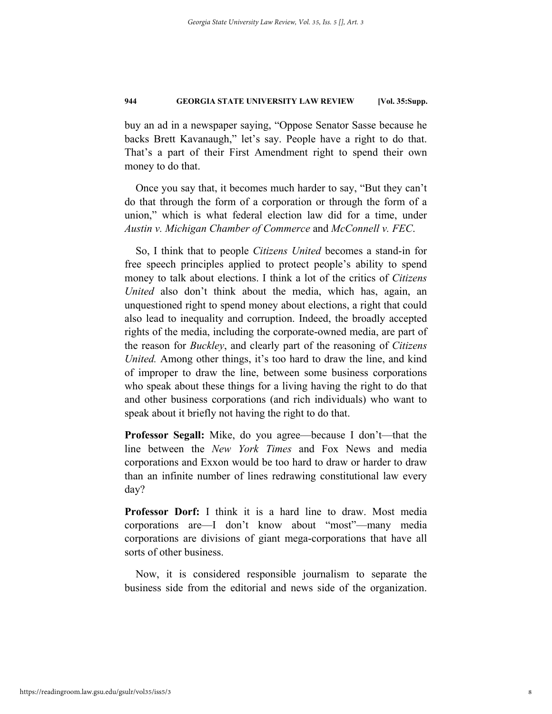buy an ad in a newspaper saying, "Oppose Senator Sasse because he backs Brett Kavanaugh," let's say. People have a right to do that. That's a part of their First Amendment right to spend their own money to do that.

Once you say that, it becomes much harder to say, "But they can't do that through the form of a corporation or through the form of a union," which is what federal election law did for a time, under *Austin v. Michigan Chamber of Commerce* and *McConnell v. FEC*.

So, I think that to people *Citizens United* becomes a stand-in for free speech principles applied to protect people's ability to spend money to talk about elections. I think a lot of the critics of *Citizens United* also don't think about the media, which has, again, an unquestioned right to spend money about elections, a right that could also lead to inequality and corruption. Indeed, the broadly accepted rights of the media, including the corporate-owned media, are part of the reason for *Buckley*, and clearly part of the reasoning of *Citizens United.* Among other things, it's too hard to draw the line, and kind of improper to draw the line, between some business corporations who speak about these things for a living having the right to do that and other business corporations (and rich individuals) who want to speak about it briefly not having the right to do that.

**Professor Segall:** Mike, do you agree—because I don't—that the line between the *New York Times* and Fox News and media corporations and Exxon would be too hard to draw or harder to draw than an infinite number of lines redrawing constitutional law every day?

**Professor Dorf:** I think it is a hard line to draw. Most media corporations are—I don't know about "most"—many media corporations are divisions of giant mega-corporations that have all sorts of other business.

Now, it is considered responsible journalism to separate the business side from the editorial and news side of the organization.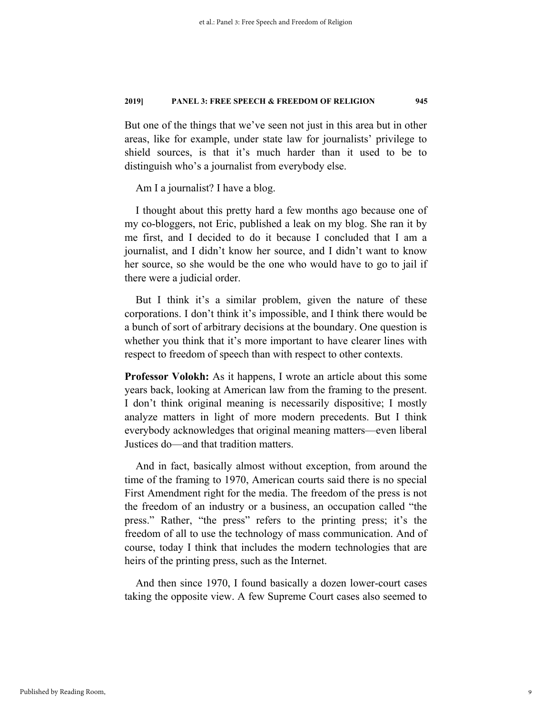But one of the things that we've seen not just in this area but in other areas, like for example, under state law for journalists' privilege to shield sources, is that it's much harder than it used to be to distinguish who's a journalist from everybody else.

Am I a journalist? I have a blog.

I thought about this pretty hard a few months ago because one of my co-bloggers, not Eric, published a leak on my blog. She ran it by me first, and I decided to do it because I concluded that I am a journalist, and I didn't know her source, and I didn't want to know her source, so she would be the one who would have to go to jail if there were a judicial order.

But I think it's a similar problem, given the nature of these corporations. I don't think it's impossible, and I think there would be a bunch of sort of arbitrary decisions at the boundary. One question is whether you think that it's more important to have clearer lines with respect to freedom of speech than with respect to other contexts.

**Professor Volokh:** As it happens, I wrote an article about this some years back, looking at American law from the framing to the present. I don't think original meaning is necessarily dispositive; I mostly analyze matters in light of more modern precedents. But I think everybody acknowledges that original meaning matters—even liberal Justices do—and that tradition matters.

And in fact, basically almost without exception, from around the time of the framing to 1970, American courts said there is no special First Amendment right for the media. The freedom of the press is not the freedom of an industry or a business, an occupation called "the press." Rather, "the press" refers to the printing press; it's the freedom of all to use the technology of mass communication. And of course, today I think that includes the modern technologies that are heirs of the printing press, such as the Internet.

And then since 1970, I found basically a dozen lower-court cases taking the opposite view. A few Supreme Court cases also seemed to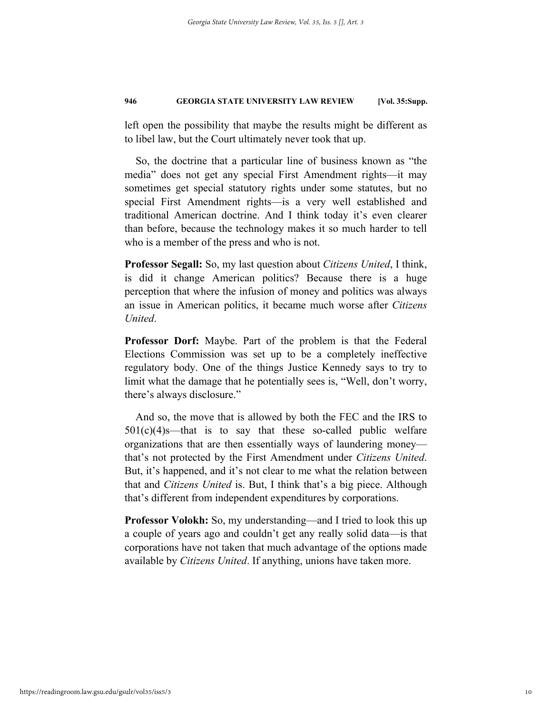left open the possibility that maybe the results might be different as to libel law, but the Court ultimately never took that up.

So, the doctrine that a particular line of business known as "the media" does not get any special First Amendment rights—it may sometimes get special statutory rights under some statutes, but no special First Amendment rights—is a very well established and traditional American doctrine. And I think today it's even clearer than before, because the technology makes it so much harder to tell who is a member of the press and who is not.

**Professor Segall:** So, my last question about *Citizens United*, I think, is did it change American politics? Because there is a huge perception that where the infusion of money and politics was always an issue in American politics, it became much worse after *Citizens United*.

**Professor Dorf:** Maybe. Part of the problem is that the Federal Elections Commission was set up to be a completely ineffective regulatory body. One of the things Justice Kennedy says to try to limit what the damage that he potentially sees is, "Well, don't worry, there's always disclosure."

And so, the move that is allowed by both the FEC and the IRS to  $501(c)(4)$ s—that is to say that these so-called public welfare organizations that are then essentially ways of laundering money that's not protected by the First Amendment under *Citizens United*. But, it's happened, and it's not clear to me what the relation between that and *Citizens United* is. But, I think that's a big piece. Although that's different from independent expenditures by corporations.

**Professor Volokh:** So, my understanding—and I tried to look this up a couple of years ago and couldn't get any really solid data—is that corporations have not taken that much advantage of the options made available by *Citizens United*. If anything, unions have taken more.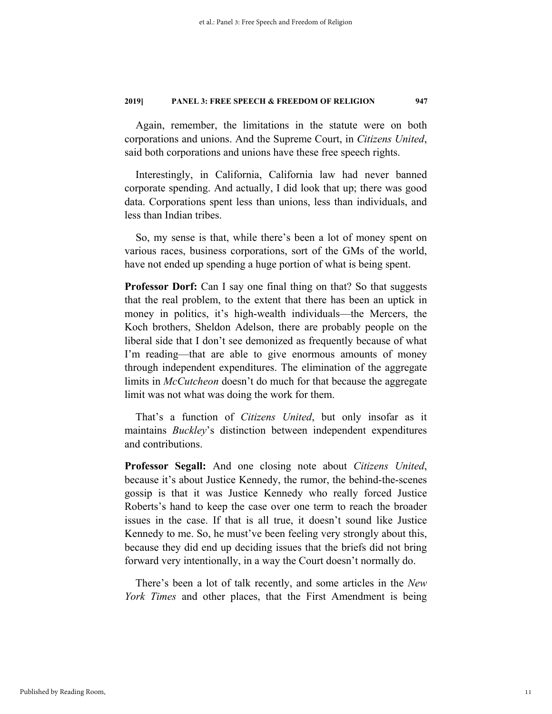Again, remember, the limitations in the statute were on both corporations and unions. And the Supreme Court, in *Citizens United*, said both corporations and unions have these free speech rights.

Interestingly, in California, California law had never banned corporate spending. And actually, I did look that up; there was good data. Corporations spent less than unions, less than individuals, and less than Indian tribes.

So, my sense is that, while there's been a lot of money spent on various races, business corporations, sort of the GMs of the world, have not ended up spending a huge portion of what is being spent.

**Professor Dorf:** Can I say one final thing on that? So that suggests that the real problem, to the extent that there has been an uptick in money in politics, it's high-wealth individuals—the Mercers, the Koch brothers, Sheldon Adelson, there are probably people on the liberal side that I don't see demonized as frequently because of what I'm reading—that are able to give enormous amounts of money through independent expenditures. The elimination of the aggregate limits in *McCutcheon* doesn't do much for that because the aggregate limit was not what was doing the work for them.

That's a function of *Citizens United*, but only insofar as it maintains *Buckley*'s distinction between independent expenditures and contributions.

**Professor Segall:** And one closing note about *Citizens United*, because it's about Justice Kennedy, the rumor, the behind-the-scenes gossip is that it was Justice Kennedy who really forced Justice Roberts's hand to keep the case over one term to reach the broader issues in the case. If that is all true, it doesn't sound like Justice Kennedy to me. So, he must've been feeling very strongly about this, because they did end up deciding issues that the briefs did not bring forward very intentionally, in a way the Court doesn't normally do.

There's been a lot of talk recently, and some articles in the *New York Times* and other places, that the First Amendment is being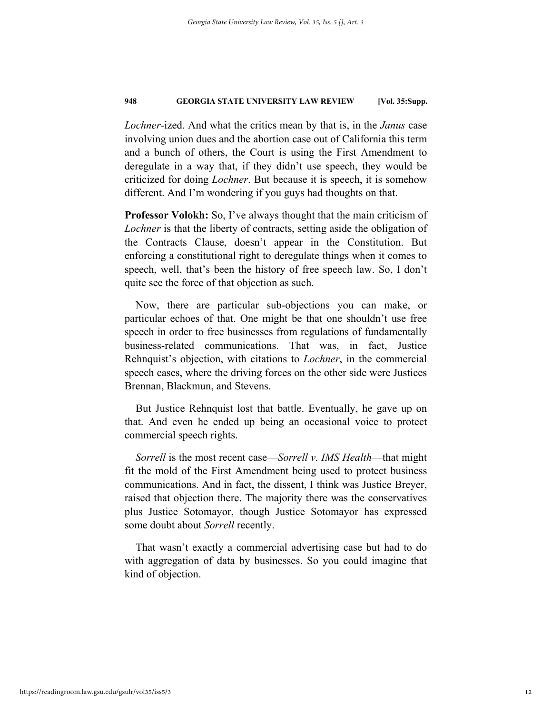*Lochner*-ized. And what the critics mean by that is, in the *Janus* case involving union dues and the abortion case out of California this term and a bunch of others, the Court is using the First Amendment to deregulate in a way that, if they didn't use speech, they would be criticized for doing *Lochner*. But because it is speech, it is somehow different. And I'm wondering if you guys had thoughts on that.

**Professor Volokh:** So, I've always thought that the main criticism of *Lochner* is that the liberty of contracts, setting aside the obligation of the Contracts Clause, doesn't appear in the Constitution. But enforcing a constitutional right to deregulate things when it comes to speech, well, that's been the history of free speech law. So, I don't quite see the force of that objection as such.

Now, there are particular sub-objections you can make, or particular echoes of that. One might be that one shouldn't use free speech in order to free businesses from regulations of fundamentally business-related communications. That was, in fact, Justice Rehnquist's objection, with citations to *Lochner*, in the commercial speech cases, where the driving forces on the other side were Justices Brennan, Blackmun, and Stevens.

But Justice Rehnquist lost that battle. Eventually, he gave up on that. And even he ended up being an occasional voice to protect commercial speech rights.

*Sorrell* is the most recent case—*Sorrell v. IMS Health*—that might fit the mold of the First Amendment being used to protect business communications. And in fact, the dissent, I think was Justice Breyer, raised that objection there. The majority there was the conservatives plus Justice Sotomayor, though Justice Sotomayor has expressed some doubt about *Sorrell* recently.

That wasn't exactly a commercial advertising case but had to do with aggregation of data by businesses. So you could imagine that kind of objection.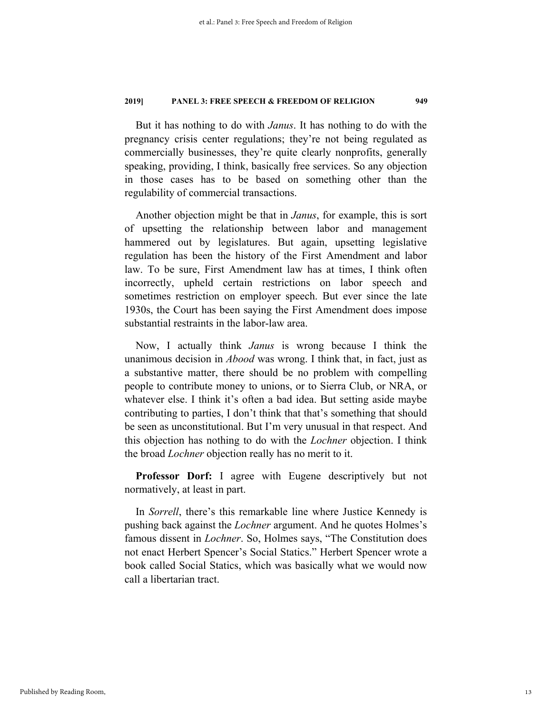But it has nothing to do with *Janus*. It has nothing to do with the pregnancy crisis center regulations; they're not being regulated as commercially businesses, they're quite clearly nonprofits, generally speaking, providing, I think, basically free services. So any objection in those cases has to be based on something other than the regulability of commercial transactions.

Another objection might be that in *Janus*, for example, this is sort of upsetting the relationship between labor and management hammered out by legislatures. But again, upsetting legislative regulation has been the history of the First Amendment and labor law. To be sure, First Amendment law has at times, I think often incorrectly, upheld certain restrictions on labor speech and sometimes restriction on employer speech. But ever since the late 1930s, the Court has been saying the First Amendment does impose substantial restraints in the labor-law area.

Now, I actually think *Janus* is wrong because I think the unanimous decision in *Abood* was wrong. I think that, in fact, just as a substantive matter, there should be no problem with compelling people to contribute money to unions, or to Sierra Club, or NRA, or whatever else. I think it's often a bad idea. But setting aside maybe contributing to parties, I don't think that that's something that should be seen as unconstitutional. But I'm very unusual in that respect. And this objection has nothing to do with the *Lochner* objection. I think the broad *Lochner* objection really has no merit to it.

**Professor Dorf:** I agree with Eugene descriptively but not normatively, at least in part.

In *Sorrell*, there's this remarkable line where Justice Kennedy is pushing back against the *Lochner* argument. And he quotes Holmes's famous dissent in *Lochner*. So, Holmes says, "The Constitution does not enact Herbert Spencer's Social Statics." Herbert Spencer wrote a book called Social Statics, which was basically what we would now call a libertarian tract.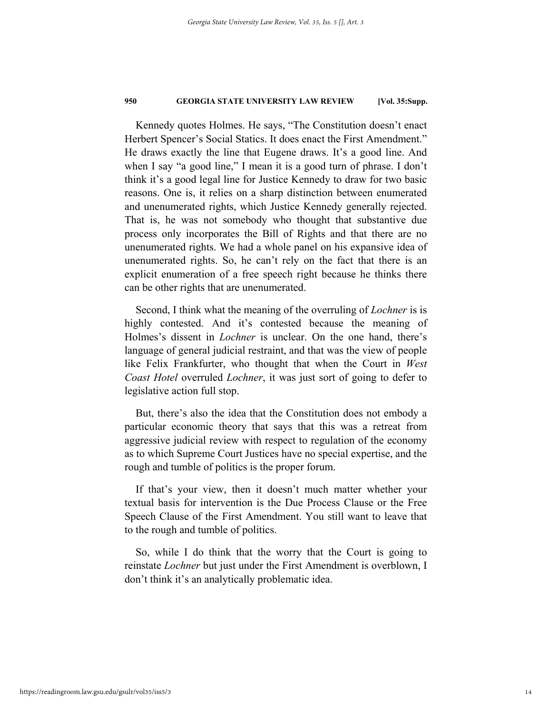Kennedy quotes Holmes. He says, "The Constitution doesn't enact Herbert Spencer's Social Statics. It does enact the First Amendment." He draws exactly the line that Eugene draws. It's a good line. And when I say "a good line," I mean it is a good turn of phrase. I don't think it's a good legal line for Justice Kennedy to draw for two basic reasons. One is, it relies on a sharp distinction between enumerated and unenumerated rights, which Justice Kennedy generally rejected. That is, he was not somebody who thought that substantive due process only incorporates the Bill of Rights and that there are no unenumerated rights. We had a whole panel on his expansive idea of unenumerated rights. So, he can't rely on the fact that there is an explicit enumeration of a free speech right because he thinks there can be other rights that are unenumerated.

Second, I think what the meaning of the overruling of *Lochner* is is highly contested. And it's contested because the meaning of Holmes's dissent in *Lochner* is unclear. On the one hand, there's language of general judicial restraint, and that was the view of people like Felix Frankfurter, who thought that when the Court in *West Coast Hotel* overruled *Lochner*, it was just sort of going to defer to legislative action full stop.

But, there's also the idea that the Constitution does not embody a particular economic theory that says that this was a retreat from aggressive judicial review with respect to regulation of the economy as to which Supreme Court Justices have no special expertise, and the rough and tumble of politics is the proper forum.

If that's your view, then it doesn't much matter whether your textual basis for intervention is the Due Process Clause or the Free Speech Clause of the First Amendment. You still want to leave that to the rough and tumble of politics.

So, while I do think that the worry that the Court is going to reinstate *Lochner* but just under the First Amendment is overblown, I don't think it's an analytically problematic idea.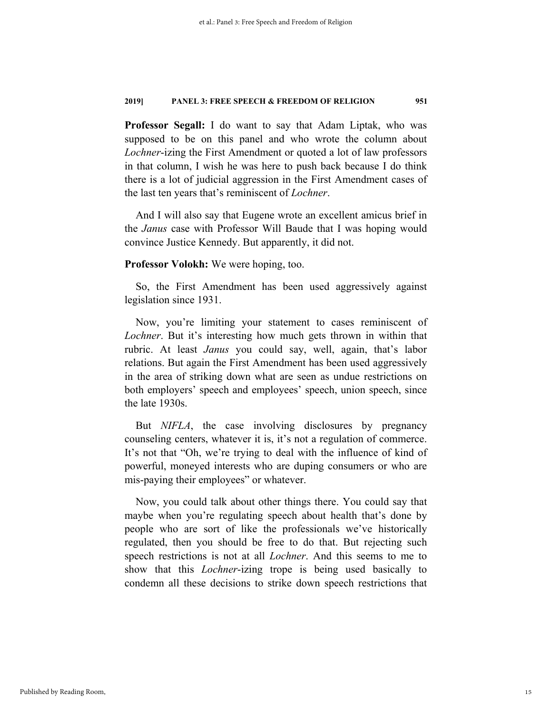**Professor Segall:** I do want to say that Adam Liptak, who was supposed to be on this panel and who wrote the column about *Lochner*-izing the First Amendment or quoted a lot of law professors in that column, I wish he was here to push back because I do think there is a lot of judicial aggression in the First Amendment cases of the last ten years that's reminiscent of *Lochner*.

And I will also say that Eugene wrote an excellent amicus brief in the *Janus* case with Professor Will Baude that I was hoping would convince Justice Kennedy. But apparently, it did not.

#### **Professor Volokh:** We were hoping, too.

So, the First Amendment has been used aggressively against legislation since 1931.

Now, you're limiting your statement to cases reminiscent of *Lochner*. But it's interesting how much gets thrown in within that rubric. At least *Janus* you could say, well, again, that's labor relations. But again the First Amendment has been used aggressively in the area of striking down what are seen as undue restrictions on both employers' speech and employees' speech, union speech, since the late 1930s.

But *NIFLA*, the case involving disclosures by pregnancy counseling centers, whatever it is, it's not a regulation of commerce. It's not that "Oh, we're trying to deal with the influence of kind of powerful, moneyed interests who are duping consumers or who are mis-paying their employees" or whatever.

Now, you could talk about other things there. You could say that maybe when you're regulating speech about health that's done by people who are sort of like the professionals we've historically regulated, then you should be free to do that. But rejecting such speech restrictions is not at all *Lochner*. And this seems to me to show that this *Lochner*-izing trope is being used basically to condemn all these decisions to strike down speech restrictions that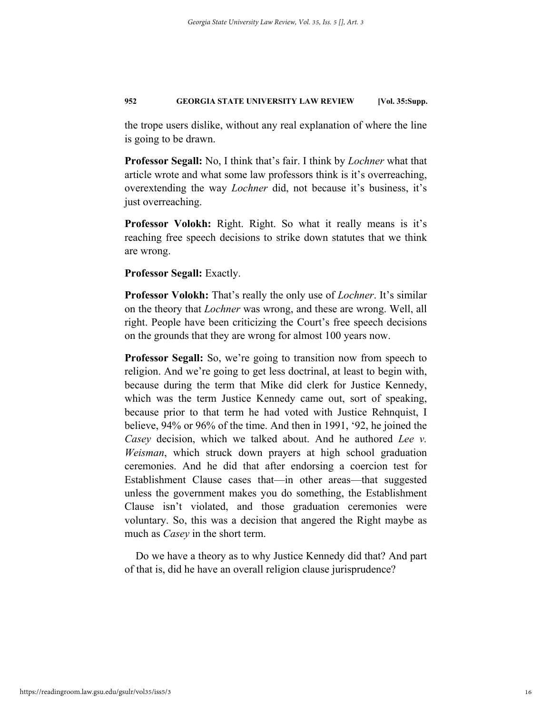the trope users dislike, without any real explanation of where the line is going to be drawn.

**Professor Segall:** No, I think that's fair. I think by *Lochner* what that article wrote and what some law professors think is it's overreaching, overextending the way *Lochner* did, not because it's business, it's just overreaching.

**Professor Volokh:** Right. Right. So what it really means is it's reaching free speech decisions to strike down statutes that we think are wrong.

**Professor Segall:** Exactly.

**Professor Volokh:** That's really the only use of *Lochner*. It's similar on the theory that *Lochner* was wrong, and these are wrong. Well, all right. People have been criticizing the Court's free speech decisions on the grounds that they are wrong for almost 100 years now.

**Professor Segall:** So, we're going to transition now from speech to religion. And we're going to get less doctrinal, at least to begin with, because during the term that Mike did clerk for Justice Kennedy, which was the term Justice Kennedy came out, sort of speaking, because prior to that term he had voted with Justice Rehnquist, I believe, 94% or 96% of the time. And then in 1991, '92, he joined the *Casey* decision, which we talked about. And he authored *Lee v. Weisman*, which struck down prayers at high school graduation ceremonies. And he did that after endorsing a coercion test for Establishment Clause cases that—in other areas—that suggested unless the government makes you do something, the Establishment Clause isn't violated, and those graduation ceremonies were voluntary. So, this was a decision that angered the Right maybe as much as *Casey* in the short term.

Do we have a theory as to why Justice Kennedy did that? And part of that is, did he have an overall religion clause jurisprudence?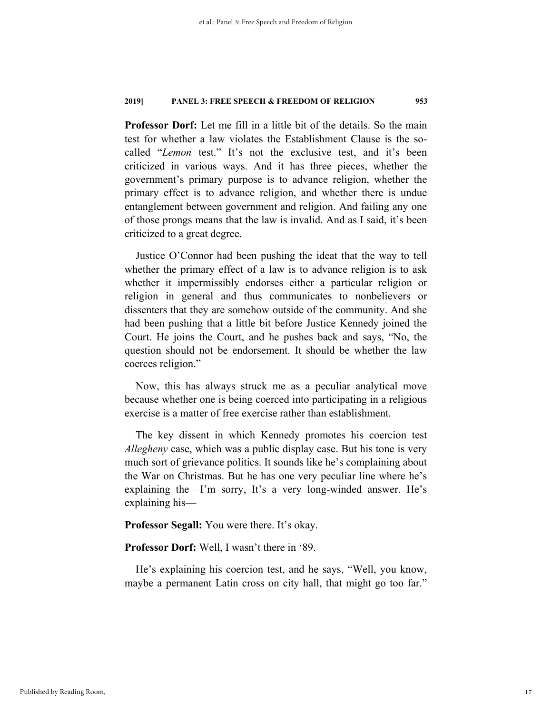**Professor Dorf:** Let me fill in a little bit of the details. So the main test for whether a law violates the Establishment Clause is the socalled "*Lemon* test." It's not the exclusive test, and it's been criticized in various ways. And it has three pieces, whether the government's primary purpose is to advance religion, whether the primary effect is to advance religion, and whether there is undue entanglement between government and religion. And failing any one of those prongs means that the law is invalid. And as I said, it's been criticized to a great degree.

Justice O'Connor had been pushing the ideat that the way to tell whether the primary effect of a law is to advance religion is to ask whether it impermissibly endorses either a particular religion or religion in general and thus communicates to nonbelievers or dissenters that they are somehow outside of the community. And she had been pushing that a little bit before Justice Kennedy joined the Court. He joins the Court, and he pushes back and says, "No, the question should not be endorsement. It should be whether the law coerces religion."

Now, this has always struck me as a peculiar analytical move because whether one is being coerced into participating in a religious exercise is a matter of free exercise rather than establishment.

The key dissent in which Kennedy promotes his coercion test *Allegheny* case, which was a public display case. But his tone is very much sort of grievance politics. It sounds like he's complaining about the War on Christmas. But he has one very peculiar line where he's explaining the—I'm sorry, It's a very long-winded answer. He's explaining his—

**Professor Segall:** You were there. It's okay.

**Professor Dorf:** Well, I wasn't there in '89.

He's explaining his coercion test, and he says, "Well, you know, maybe a permanent Latin cross on city hall, that might go too far."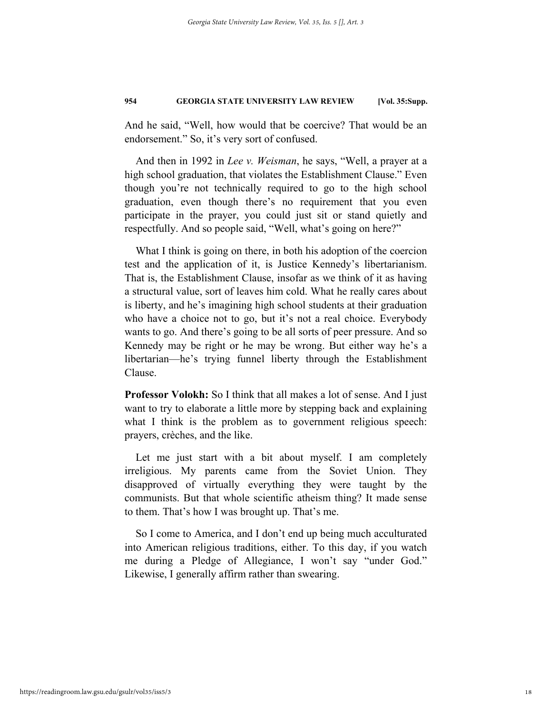And he said, "Well, how would that be coercive? That would be an endorsement." So, it's very sort of confused.

And then in 1992 in *Lee v. Weisman*, he says, "Well, a prayer at a high school graduation, that violates the Establishment Clause." Even though you're not technically required to go to the high school graduation, even though there's no requirement that you even participate in the prayer, you could just sit or stand quietly and respectfully. And so people said, "Well, what's going on here?"

What I think is going on there, in both his adoption of the coercion test and the application of it, is Justice Kennedy's libertarianism. That is, the Establishment Clause, insofar as we think of it as having a structural value, sort of leaves him cold. What he really cares about is liberty, and he's imagining high school students at their graduation who have a choice not to go, but it's not a real choice. Everybody wants to go. And there's going to be all sorts of peer pressure. And so Kennedy may be right or he may be wrong. But either way he's a libertarian—he's trying funnel liberty through the Establishment Clause.

**Professor Volokh:** So I think that all makes a lot of sense. And I just want to try to elaborate a little more by stepping back and explaining what I think is the problem as to government religious speech: prayers, crèches, and the like.

Let me just start with a bit about myself. I am completely irreligious. My parents came from the Soviet Union. They disapproved of virtually everything they were taught by the communists. But that whole scientific atheism thing? It made sense to them. That's how I was brought up. That's me.

So I come to America, and I don't end up being much acculturated into American religious traditions, either. To this day, if you watch me during a Pledge of Allegiance, I won't say "under God." Likewise, I generally affirm rather than swearing.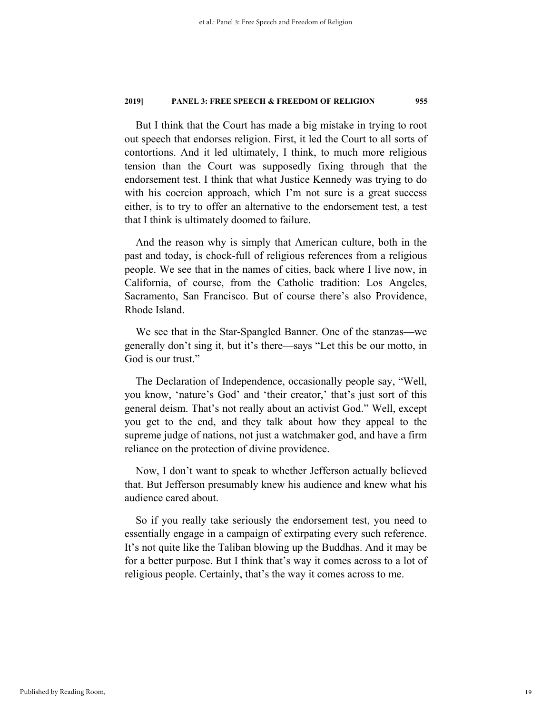But I think that the Court has made a big mistake in trying to root out speech that endorses religion. First, it led the Court to all sorts of contortions. And it led ultimately, I think, to much more religious tension than the Court was supposedly fixing through that the endorsement test. I think that what Justice Kennedy was trying to do with his coercion approach, which I'm not sure is a great success either, is to try to offer an alternative to the endorsement test, a test that I think is ultimately doomed to failure.

And the reason why is simply that American culture, both in the past and today, is chock-full of religious references from a religious people. We see that in the names of cities, back where I live now, in California, of course, from the Catholic tradition: Los Angeles, Sacramento, San Francisco. But of course there's also Providence, Rhode Island.

We see that in the Star-Spangled Banner. One of the stanzas—we generally don't sing it, but it's there—says "Let this be our motto, in God is our trust."

The Declaration of Independence, occasionally people say, "Well, you know, 'nature's God' and 'their creator,' that's just sort of this general deism. That's not really about an activist God." Well, except you get to the end, and they talk about how they appeal to the supreme judge of nations, not just a watchmaker god, and have a firm reliance on the protection of divine providence.

Now, I don't want to speak to whether Jefferson actually believed that. But Jefferson presumably knew his audience and knew what his audience cared about.

So if you really take seriously the endorsement test, you need to essentially engage in a campaign of extirpating every such reference. It's not quite like the Taliban blowing up the Buddhas. And it may be for a better purpose. But I think that's way it comes across to a lot of religious people. Certainly, that's the way it comes across to me.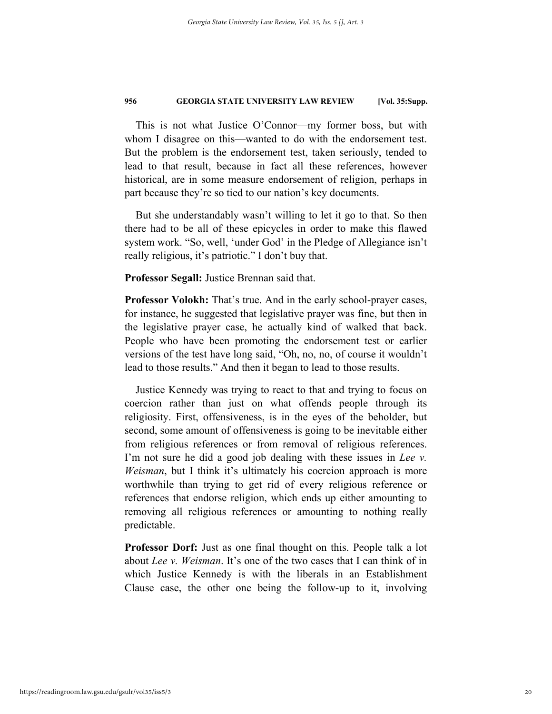This is not what Justice O'Connor—my former boss, but with whom I disagree on this—wanted to do with the endorsement test. But the problem is the endorsement test, taken seriously, tended to lead to that result, because in fact all these references, however historical, are in some measure endorsement of religion, perhaps in part because they're so tied to our nation's key documents.

But she understandably wasn't willing to let it go to that. So then there had to be all of these epicycles in order to make this flawed system work. "So, well, 'under God' in the Pledge of Allegiance isn't really religious, it's patriotic." I don't buy that.

#### **Professor Segall:** Justice Brennan said that.

**Professor Volokh:** That's true. And in the early school-prayer cases, for instance, he suggested that legislative prayer was fine, but then in the legislative prayer case, he actually kind of walked that back. People who have been promoting the endorsement test or earlier versions of the test have long said, "Oh, no, no, of course it wouldn't lead to those results." And then it began to lead to those results.

Justice Kennedy was trying to react to that and trying to focus on coercion rather than just on what offends people through its religiosity. First, offensiveness, is in the eyes of the beholder, but second, some amount of offensiveness is going to be inevitable either from religious references or from removal of religious references. I'm not sure he did a good job dealing with these issues in *Lee v. Weisman*, but I think it's ultimately his coercion approach is more worthwhile than trying to get rid of every religious reference or references that endorse religion, which ends up either amounting to removing all religious references or amounting to nothing really predictable.

**Professor Dorf:** Just as one final thought on this. People talk a lot about *Lee v. Weisman*. It's one of the two cases that I can think of in which Justice Kennedy is with the liberals in an Establishment Clause case, the other one being the follow-up to it, involving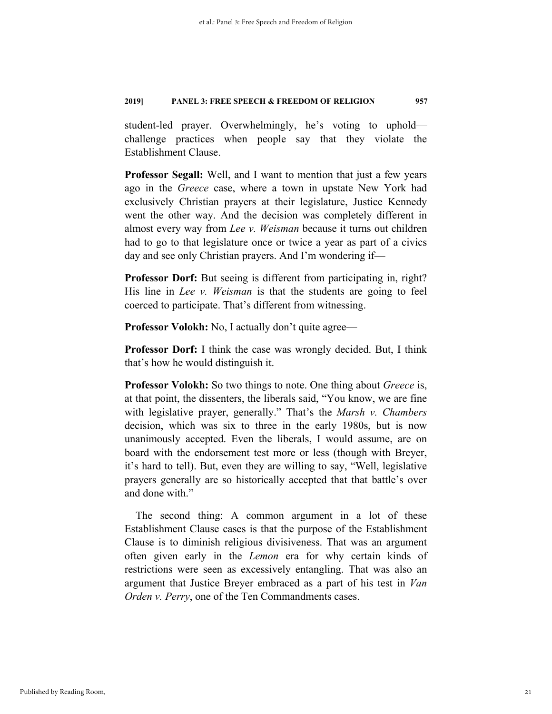student-led prayer. Overwhelmingly, he's voting to uphold challenge practices when people say that they violate the Establishment Clause.

**Professor Segall:** Well, and I want to mention that just a few years ago in the *Greece* case, where a town in upstate New York had exclusively Christian prayers at their legislature, Justice Kennedy went the other way. And the decision was completely different in almost every way from *Lee v. Weisman* because it turns out children had to go to that legislature once or twice a year as part of a civics day and see only Christian prayers. And I'm wondering if—

**Professor Dorf:** But seeing is different from participating in, right? His line in *Lee v. Weisman* is that the students are going to feel coerced to participate. That's different from witnessing.

**Professor Volokh:** No, I actually don't quite agree—

**Professor Dorf:** I think the case was wrongly decided. But, I think that's how he would distinguish it.

**Professor Volokh:** So two things to note. One thing about *Greece* is, at that point, the dissenters, the liberals said, "You know, we are fine with legislative prayer, generally." That's the *Marsh v. Chambers*  decision, which was six to three in the early 1980s, but is now unanimously accepted. Even the liberals, I would assume, are on board with the endorsement test more or less (though with Breyer, it's hard to tell). But, even they are willing to say, "Well, legislative prayers generally are so historically accepted that that battle's over and done with."

The second thing: A common argument in a lot of these Establishment Clause cases is that the purpose of the Establishment Clause is to diminish religious divisiveness. That was an argument often given early in the *Lemon* era for why certain kinds of restrictions were seen as excessively entangling. That was also an argument that Justice Breyer embraced as a part of his test in *Van Orden v. Perry*, one of the Ten Commandments cases.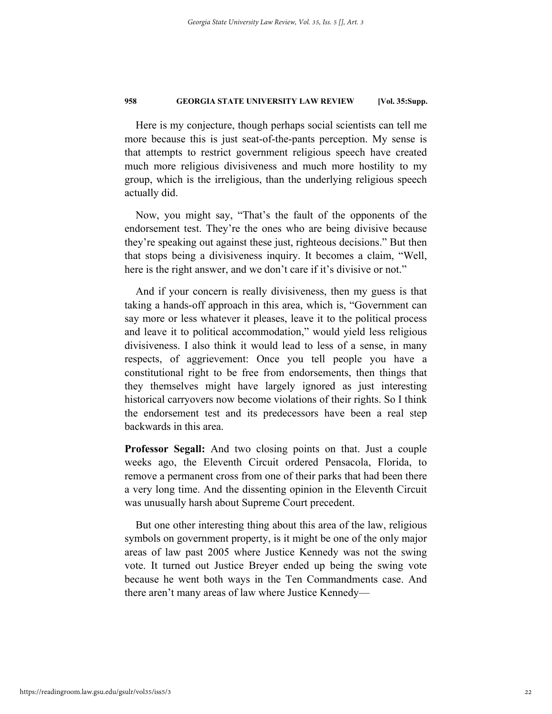Here is my conjecture, though perhaps social scientists can tell me more because this is just seat-of-the-pants perception. My sense is that attempts to restrict government religious speech have created much more religious divisiveness and much more hostility to my group, which is the irreligious, than the underlying religious speech actually did.

Now, you might say, "That's the fault of the opponents of the endorsement test. They're the ones who are being divisive because they're speaking out against these just, righteous decisions." But then that stops being a divisiveness inquiry. It becomes a claim, "Well, here is the right answer, and we don't care if it's divisive or not."

And if your concern is really divisiveness, then my guess is that taking a hands-off approach in this area, which is, "Government can say more or less whatever it pleases, leave it to the political process and leave it to political accommodation," would yield less religious divisiveness. I also think it would lead to less of a sense, in many respects, of aggrievement: Once you tell people you have a constitutional right to be free from endorsements, then things that they themselves might have largely ignored as just interesting historical carryovers now become violations of their rights. So I think the endorsement test and its predecessors have been a real step backwards in this area.

**Professor Segall:** And two closing points on that. Just a couple weeks ago, the Eleventh Circuit ordered Pensacola, Florida, to remove a permanent cross from one of their parks that had been there a very long time. And the dissenting opinion in the Eleventh Circuit was unusually harsh about Supreme Court precedent.

But one other interesting thing about this area of the law, religious symbols on government property, is it might be one of the only major areas of law past 2005 where Justice Kennedy was not the swing vote. It turned out Justice Breyer ended up being the swing vote because he went both ways in the Ten Commandments case. And there aren't many areas of law where Justice Kennedy—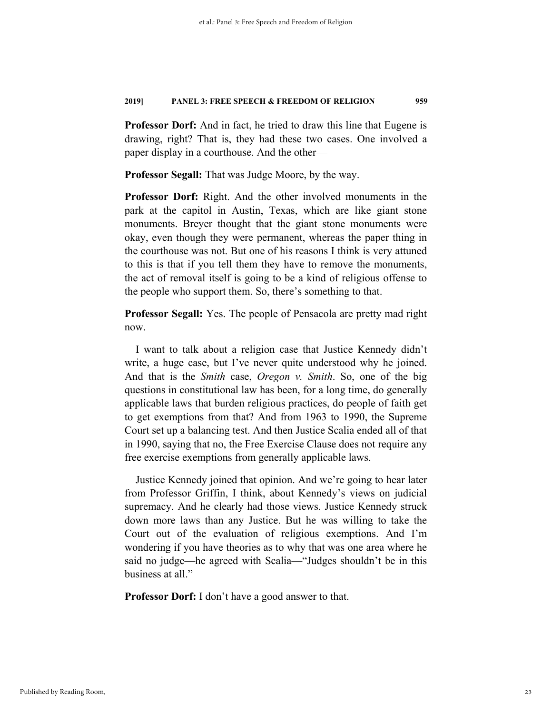**Professor Dorf:** And in fact, he tried to draw this line that Eugene is drawing, right? That is, they had these two cases. One involved a paper display in a courthouse. And the other—

**Professor Segall:** That was Judge Moore, by the way.

**Professor Dorf:** Right. And the other involved monuments in the park at the capitol in Austin, Texas, which are like giant stone monuments. Breyer thought that the giant stone monuments were okay, even though they were permanent, whereas the paper thing in the courthouse was not. But one of his reasons I think is very attuned to this is that if you tell them they have to remove the monuments, the act of removal itself is going to be a kind of religious offense to the people who support them. So, there's something to that.

**Professor Segall:** Yes. The people of Pensacola are pretty mad right now.

I want to talk about a religion case that Justice Kennedy didn't write, a huge case, but I've never quite understood why he joined. And that is the *Smith* case, *Oregon v. Smith*. So, one of the big questions in constitutional law has been, for a long time, do generally applicable laws that burden religious practices, do people of faith get to get exemptions from that? And from 1963 to 1990, the Supreme Court set up a balancing test. And then Justice Scalia ended all of that in 1990, saying that no, the Free Exercise Clause does not require any free exercise exemptions from generally applicable laws.

Justice Kennedy joined that opinion. And we're going to hear later from Professor Griffin, I think, about Kennedy's views on judicial supremacy. And he clearly had those views. Justice Kennedy struck down more laws than any Justice. But he was willing to take the Court out of the evaluation of religious exemptions. And I'm wondering if you have theories as to why that was one area where he said no judge—he agreed with Scalia—"Judges shouldn't be in this business at all."

**Professor Dorf:** I don't have a good answer to that.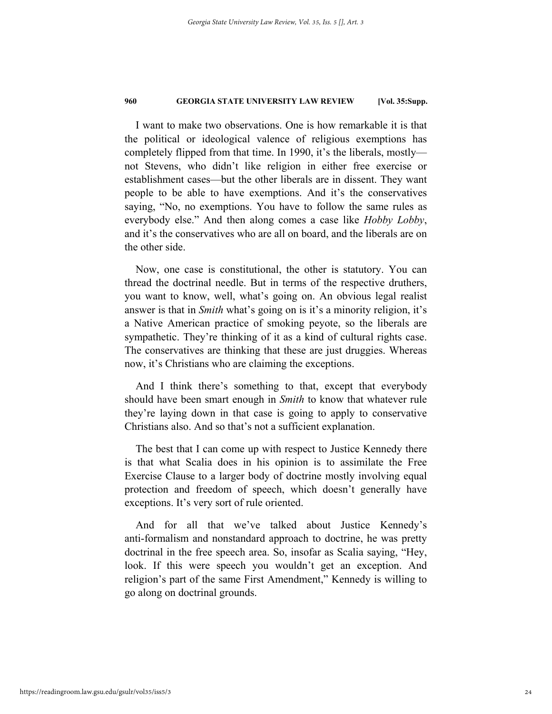I want to make two observations. One is how remarkable it is that the political or ideological valence of religious exemptions has completely flipped from that time. In 1990, it's the liberals, mostly not Stevens, who didn't like religion in either free exercise or establishment cases—but the other liberals are in dissent. They want people to be able to have exemptions. And it's the conservatives saying, "No, no exemptions. You have to follow the same rules as everybody else." And then along comes a case like *Hobby Lobby*, and it's the conservatives who are all on board, and the liberals are on the other side.

Now, one case is constitutional, the other is statutory. You can thread the doctrinal needle. But in terms of the respective druthers, you want to know, well, what's going on. An obvious legal realist answer is that in *Smith* what's going on is it's a minority religion, it's a Native American practice of smoking peyote, so the liberals are sympathetic. They're thinking of it as a kind of cultural rights case. The conservatives are thinking that these are just druggies. Whereas now, it's Christians who are claiming the exceptions.

And I think there's something to that, except that everybody should have been smart enough in *Smith* to know that whatever rule they're laying down in that case is going to apply to conservative Christians also. And so that's not a sufficient explanation.

The best that I can come up with respect to Justice Kennedy there is that what Scalia does in his opinion is to assimilate the Free Exercise Clause to a larger body of doctrine mostly involving equal protection and freedom of speech, which doesn't generally have exceptions. It's very sort of rule oriented.

And for all that we've talked about Justice Kennedy's anti-formalism and nonstandard approach to doctrine, he was pretty doctrinal in the free speech area. So, insofar as Scalia saying, "Hey, look. If this were speech you wouldn't get an exception. And religion's part of the same First Amendment," Kennedy is willing to go along on doctrinal grounds.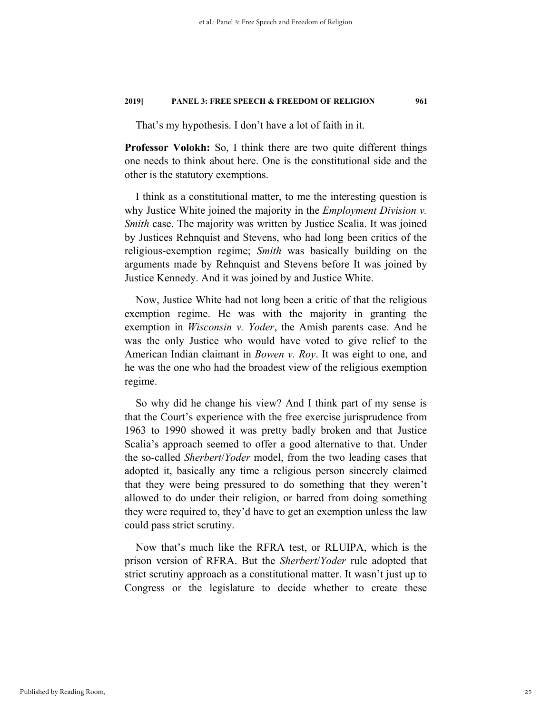That's my hypothesis. I don't have a lot of faith in it.

**Professor Volokh:** So, I think there are two quite different things one needs to think about here. One is the constitutional side and the other is the statutory exemptions.

I think as a constitutional matter, to me the interesting question is why Justice White joined the majority in the *Employment Division v. Smith* case. The majority was written by Justice Scalia. It was joined by Justices Rehnquist and Stevens, who had long been critics of the religious-exemption regime; *Smith* was basically building on the arguments made by Rehnquist and Stevens before It was joined by Justice Kennedy. And it was joined by and Justice White.

Now, Justice White had not long been a critic of that the religious exemption regime. He was with the majority in granting the exemption in *Wisconsin v. Yoder*, the Amish parents case. And he was the only Justice who would have voted to give relief to the American Indian claimant in *Bowen v. Roy*. It was eight to one, and he was the one who had the broadest view of the religious exemption regime.

So why did he change his view? And I think part of my sense is that the Court's experience with the free exercise jurisprudence from 1963 to 1990 showed it was pretty badly broken and that Justice Scalia's approach seemed to offer a good alternative to that. Under the so-called *Sherbert*/*Yoder* model, from the two leading cases that adopted it, basically any time a religious person sincerely claimed that they were being pressured to do something that they weren't allowed to do under their religion, or barred from doing something they were required to, they'd have to get an exemption unless the law could pass strict scrutiny.

Now that's much like the RFRA test, or RLUIPA, which is the prison version of RFRA. But the *Sherbert*/*Yoder* rule adopted that strict scrutiny approach as a constitutional matter. It wasn't just up to Congress or the legislature to decide whether to create these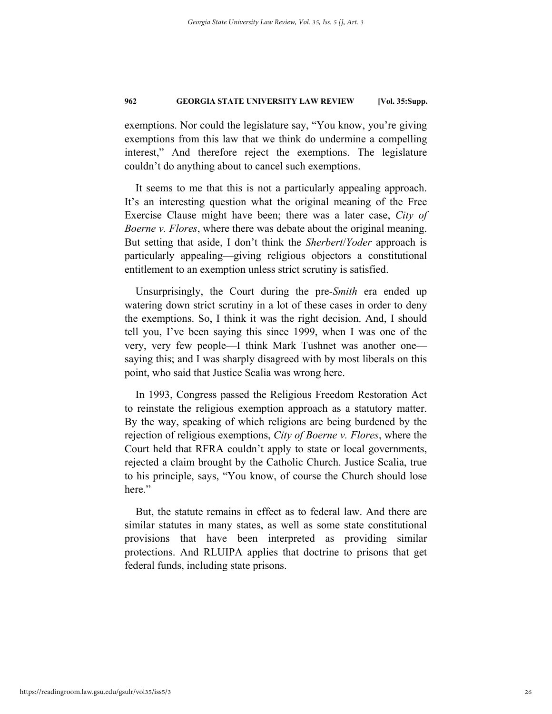exemptions. Nor could the legislature say, "You know, you're giving exemptions from this law that we think do undermine a compelling interest," And therefore reject the exemptions. The legislature couldn't do anything about to cancel such exemptions.

It seems to me that this is not a particularly appealing approach. It's an interesting question what the original meaning of the Free Exercise Clause might have been; there was a later case, *City of Boerne v. Flores*, where there was debate about the original meaning. But setting that aside, I don't think the *Sherbert*/*Yoder* approach is particularly appealing—giving religious objectors a constitutional entitlement to an exemption unless strict scrutiny is satisfied.

Unsurprisingly, the Court during the pre-*Smith* era ended up watering down strict scrutiny in a lot of these cases in order to deny the exemptions. So, I think it was the right decision. And, I should tell you, I've been saying this since 1999, when I was one of the very, very few people—I think Mark Tushnet was another one saying this; and I was sharply disagreed with by most liberals on this point, who said that Justice Scalia was wrong here.

In 1993, Congress passed the Religious Freedom Restoration Act to reinstate the religious exemption approach as a statutory matter. By the way, speaking of which religions are being burdened by the rejection of religious exemptions, *City of Boerne v. Flores*, where the Court held that RFRA couldn't apply to state or local governments, rejected a claim brought by the Catholic Church. Justice Scalia, true to his principle, says, "You know, of course the Church should lose here."

But, the statute remains in effect as to federal law. And there are similar statutes in many states, as well as some state constitutional provisions that have been interpreted as providing similar protections. And RLUIPA applies that doctrine to prisons that get federal funds, including state prisons.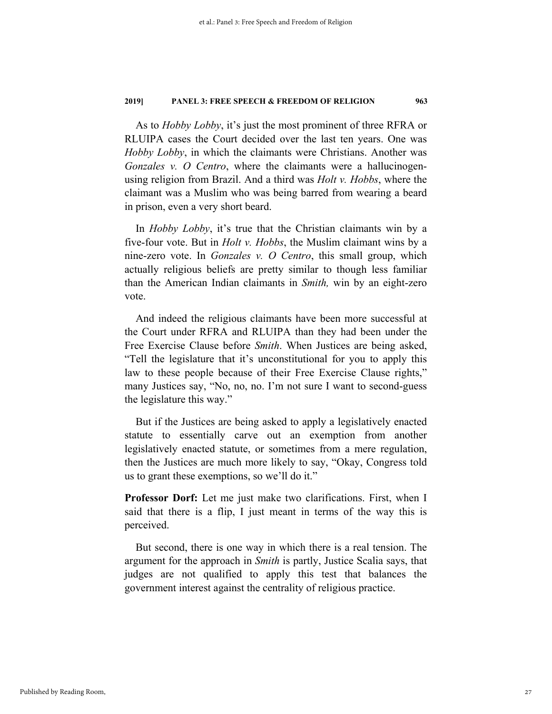As to *Hobby Lobby*, it's just the most prominent of three RFRA or RLUIPA cases the Court decided over the last ten years. One was *Hobby Lobby*, in which the claimants were Christians. Another was *Gonzales v. O Centro*, where the claimants were a hallucinogenusing religion from Brazil. And a third was *Holt v. Hobbs*, where the claimant was a Muslim who was being barred from wearing a beard in prison, even a very short beard.

In *Hobby Lobby*, it's true that the Christian claimants win by a five-four vote. But in *Holt v. Hobbs*, the Muslim claimant wins by a nine-zero vote. In *Gonzales v. O Centro*, this small group, which actually religious beliefs are pretty similar to though less familiar than the American Indian claimants in *Smith,* win by an eight-zero vote.

And indeed the religious claimants have been more successful at the Court under RFRA and RLUIPA than they had been under the Free Exercise Clause before *Smith*. When Justices are being asked, "Tell the legislature that it's unconstitutional for you to apply this law to these people because of their Free Exercise Clause rights," many Justices say, "No, no, no. I'm not sure I want to second-guess the legislature this way."

But if the Justices are being asked to apply a legislatively enacted statute to essentially carve out an exemption from another legislatively enacted statute, or sometimes from a mere regulation, then the Justices are much more likely to say, "Okay, Congress told us to grant these exemptions, so we'll do it."

**Professor Dorf:** Let me just make two clarifications. First, when I said that there is a flip, I just meant in terms of the way this is perceived.

But second, there is one way in which there is a real tension. The argument for the approach in *Smith* is partly, Justice Scalia says, that judges are not qualified to apply this test that balances the government interest against the centrality of religious practice.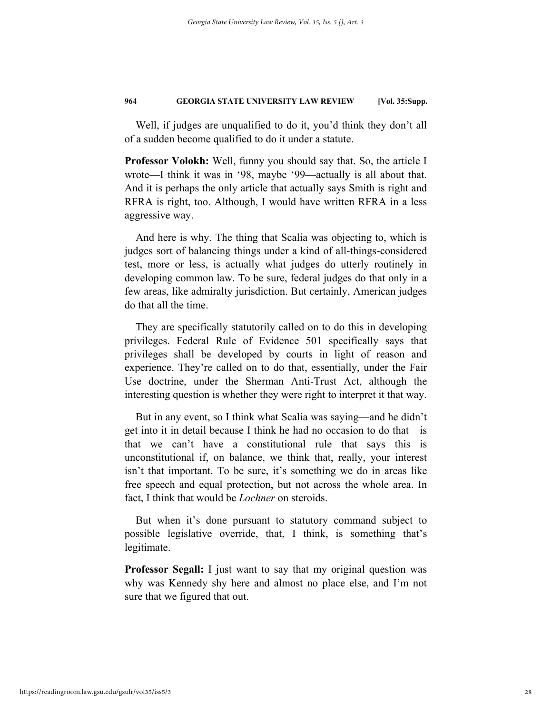Well, if judges are unqualified to do it, you'd think they don't all of a sudden become qualified to do it under a statute.

**Professor Volokh:** Well, funny you should say that. So, the article I wrote—I think it was in '98, maybe '99—actually is all about that. And it is perhaps the only article that actually says Smith is right and RFRA is right, too. Although, I would have written RFRA in a less aggressive way.

And here is why. The thing that Scalia was objecting to, which is judges sort of balancing things under a kind of all-things-considered test, more or less, is actually what judges do utterly routinely in developing common law. To be sure, federal judges do that only in a few areas, like admiralty jurisdiction. But certainly, American judges do that all the time.

They are specifically statutorily called on to do this in developing privileges. Federal Rule of Evidence 501 specifically says that privileges shall be developed by courts in light of reason and experience. They're called on to do that, essentially, under the Fair Use doctrine, under the Sherman Anti-Trust Act, although the interesting question is whether they were right to interpret it that way.

But in any event, so I think what Scalia was saying—and he didn't get into it in detail because I think he had no occasion to do that—is that we can't have a constitutional rule that says this is unconstitutional if, on balance, we think that, really, your interest isn't that important. To be sure, it's something we do in areas like free speech and equal protection, but not across the whole area. In fact, I think that would be *Lochner* on steroids.

But when it's done pursuant to statutory command subject to possible legislative override, that, I think, is something that's legitimate.

**Professor Segall:** I just want to say that my original question was why was Kennedy shy here and almost no place else, and I'm not sure that we figured that out.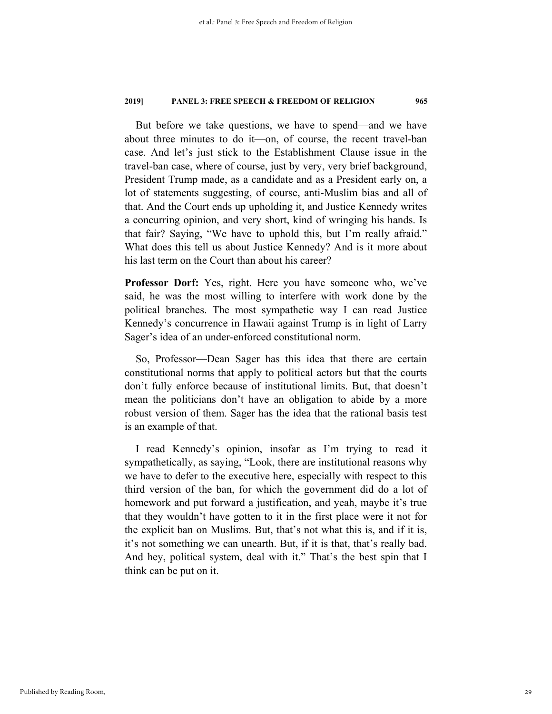But before we take questions, we have to spend—and we have about three minutes to do it—on, of course, the recent travel-ban case. And let's just stick to the Establishment Clause issue in the travel-ban case, where of course, just by very, very brief background, President Trump made, as a candidate and as a President early on, a lot of statements suggesting, of course, anti-Muslim bias and all of that. And the Court ends up upholding it, and Justice Kennedy writes a concurring opinion, and very short, kind of wringing his hands. Is that fair? Saying, "We have to uphold this, but I'm really afraid." What does this tell us about Justice Kennedy? And is it more about his last term on the Court than about his career?

**Professor Dorf:** Yes, right. Here you have someone who, we've said, he was the most willing to interfere with work done by the political branches. The most sympathetic way I can read Justice Kennedy's concurrence in Hawaii against Trump is in light of Larry Sager's idea of an under-enforced constitutional norm.

So, Professor—Dean Sager has this idea that there are certain constitutional norms that apply to political actors but that the courts don't fully enforce because of institutional limits. But, that doesn't mean the politicians don't have an obligation to abide by a more robust version of them. Sager has the idea that the rational basis test is an example of that.

I read Kennedy's opinion, insofar as I'm trying to read it sympathetically, as saying, "Look, there are institutional reasons why we have to defer to the executive here, especially with respect to this third version of the ban, for which the government did do a lot of homework and put forward a justification, and yeah, maybe it's true that they wouldn't have gotten to it in the first place were it not for the explicit ban on Muslims. But, that's not what this is, and if it is, it's not something we can unearth. But, if it is that, that's really bad. And hey, political system, deal with it." That's the best spin that I think can be put on it.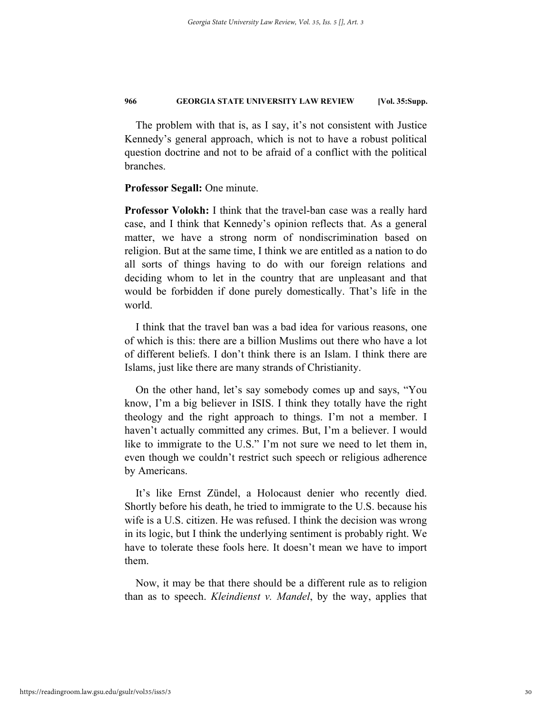The problem with that is, as I say, it's not consistent with Justice Kennedy's general approach, which is not to have a robust political question doctrine and not to be afraid of a conflict with the political branches.

#### **Professor Segall:** One minute.

**Professor Volokh:** I think that the travel-ban case was a really hard case, and I think that Kennedy's opinion reflects that. As a general matter, we have a strong norm of nondiscrimination based on religion. But at the same time, I think we are entitled as a nation to do all sorts of things having to do with our foreign relations and deciding whom to let in the country that are unpleasant and that would be forbidden if done purely domestically. That's life in the world.

I think that the travel ban was a bad idea for various reasons, one of which is this: there are a billion Muslims out there who have a lot of different beliefs. I don't think there is an Islam. I think there are Islams, just like there are many strands of Christianity.

On the other hand, let's say somebody comes up and says, "You know, I'm a big believer in ISIS. I think they totally have the right theology and the right approach to things. I'm not a member. I haven't actually committed any crimes. But, I'm a believer. I would like to immigrate to the U.S." I'm not sure we need to let them in, even though we couldn't restrict such speech or religious adherence by Americans.

It's like Ernst Zündel, a Holocaust denier who recently died. Shortly before his death, he tried to immigrate to the U.S. because his wife is a U.S. citizen. He was refused. I think the decision was wrong in its logic, but I think the underlying sentiment is probably right. We have to tolerate these fools here. It doesn't mean we have to import them.

Now, it may be that there should be a different rule as to religion than as to speech. *Kleindienst v. Mandel*, by the way, applies that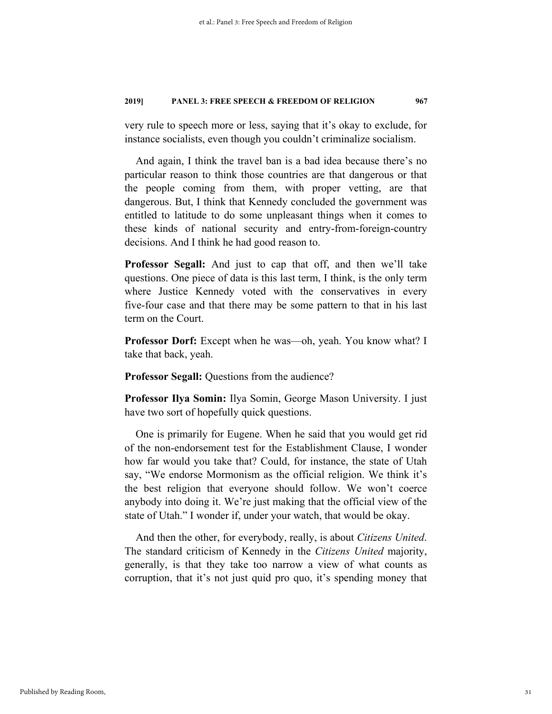very rule to speech more or less, saying that it's okay to exclude, for instance socialists, even though you couldn't criminalize socialism.

And again, I think the travel ban is a bad idea because there's no particular reason to think those countries are that dangerous or that the people coming from them, with proper vetting, are that dangerous. But, I think that Kennedy concluded the government was entitled to latitude to do some unpleasant things when it comes to these kinds of national security and entry-from-foreign-country decisions. And I think he had good reason to.

**Professor Segall:** And just to cap that off, and then we'll take questions. One piece of data is this last term, I think, is the only term where Justice Kennedy voted with the conservatives in every five-four case and that there may be some pattern to that in his last term on the Court.

**Professor Dorf:** Except when he was—oh, yeah. You know what? I take that back, yeah.

**Professor Segall:** Questions from the audience?

**Professor Ilya Somin:** Ilya Somin, George Mason University. I just have two sort of hopefully quick questions.

One is primarily for Eugene. When he said that you would get rid of the non-endorsement test for the Establishment Clause, I wonder how far would you take that? Could, for instance, the state of Utah say, "We endorse Mormonism as the official religion. We think it's the best religion that everyone should follow. We won't coerce anybody into doing it. We're just making that the official view of the state of Utah." I wonder if, under your watch, that would be okay.

And then the other, for everybody, really, is about *Citizens United*. The standard criticism of Kennedy in the *Citizens United* majority, generally, is that they take too narrow a view of what counts as corruption, that it's not just quid pro quo, it's spending money that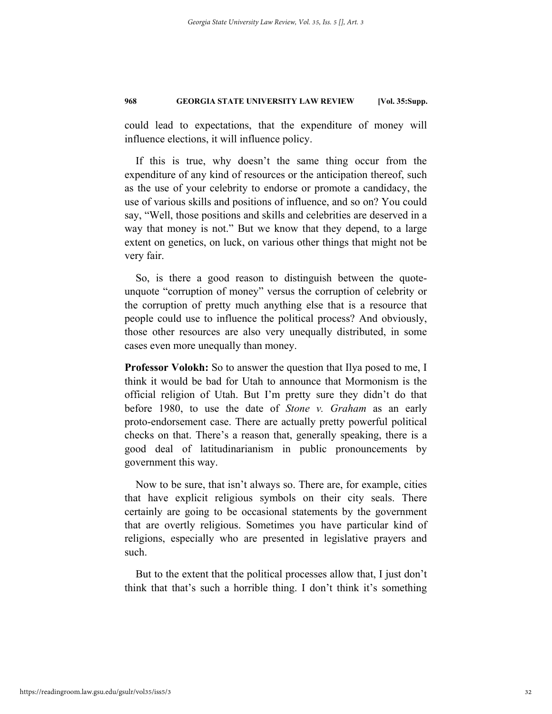could lead to expectations, that the expenditure of money will influence elections, it will influence policy.

If this is true, why doesn't the same thing occur from the expenditure of any kind of resources or the anticipation thereof, such as the use of your celebrity to endorse or promote a candidacy, the use of various skills and positions of influence, and so on? You could say, "Well, those positions and skills and celebrities are deserved in a way that money is not." But we know that they depend, to a large extent on genetics, on luck, on various other things that might not be very fair.

So, is there a good reason to distinguish between the quoteunquote "corruption of money" versus the corruption of celebrity or the corruption of pretty much anything else that is a resource that people could use to influence the political process? And obviously, those other resources are also very unequally distributed, in some cases even more unequally than money.

**Professor Volokh:** So to answer the question that Ilya posed to me, I think it would be bad for Utah to announce that Mormonism is the official religion of Utah. But I'm pretty sure they didn't do that before 1980, to use the date of *Stone v. Graham* as an early proto-endorsement case. There are actually pretty powerful political checks on that. There's a reason that, generally speaking, there is a good deal of latitudinarianism in public pronouncements by government this way.

Now to be sure, that isn't always so. There are, for example, cities that have explicit religious symbols on their city seals. There certainly are going to be occasional statements by the government that are overtly religious. Sometimes you have particular kind of religions, especially who are presented in legislative prayers and such.

But to the extent that the political processes allow that, I just don't think that that's such a horrible thing. I don't think it's something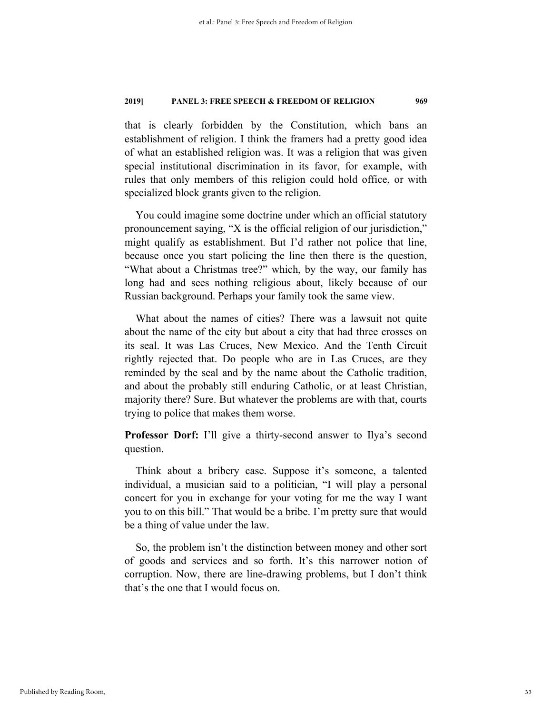that is clearly forbidden by the Constitution, which bans an establishment of religion. I think the framers had a pretty good idea of what an established religion was. It was a religion that was given special institutional discrimination in its favor, for example, with rules that only members of this religion could hold office, or with specialized block grants given to the religion.

You could imagine some doctrine under which an official statutory pronouncement saying, "X is the official religion of our jurisdiction," might qualify as establishment. But I'd rather not police that line, because once you start policing the line then there is the question, "What about a Christmas tree?" which, by the way, our family has long had and sees nothing religious about, likely because of our Russian background. Perhaps your family took the same view.

What about the names of cities? There was a lawsuit not quite about the name of the city but about a city that had three crosses on its seal. It was Las Cruces, New Mexico. And the Tenth Circuit rightly rejected that. Do people who are in Las Cruces, are they reminded by the seal and by the name about the Catholic tradition, and about the probably still enduring Catholic, or at least Christian, majority there? Sure. But whatever the problems are with that, courts trying to police that makes them worse.

**Professor Dorf:** I'll give a thirty-second answer to Ilya's second question.

Think about a bribery case. Suppose it's someone, a talented individual, a musician said to a politician, "I will play a personal concert for you in exchange for your voting for me the way I want you to on this bill." That would be a bribe. I'm pretty sure that would be a thing of value under the law.

So, the problem isn't the distinction between money and other sort of goods and services and so forth. It's this narrower notion of corruption. Now, there are line-drawing problems, but I don't think that's the one that I would focus on.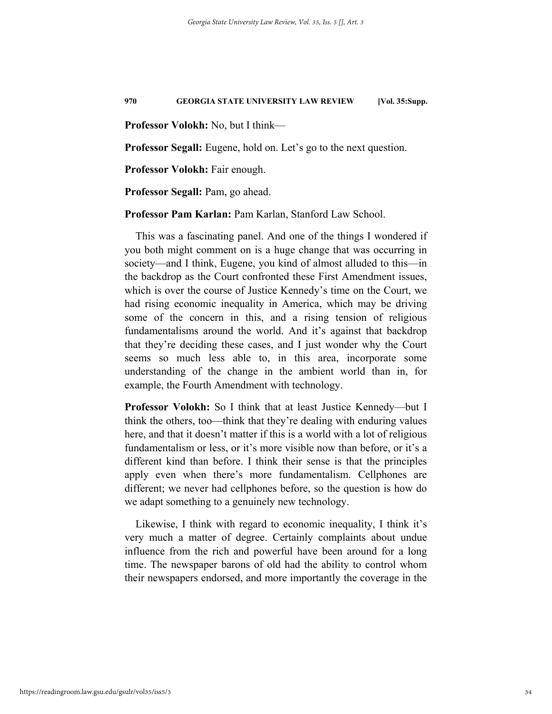**Professor Volokh:** No, but I think—

**Professor Segall:** Eugene, hold on. Let's go to the next question.

**Professor Volokh:** Fair enough.

**Professor Segall:** Pam, go ahead.

**Professor Pam Karlan:** Pam Karlan, Stanford Law School.

This was a fascinating panel. And one of the things I wondered if you both might comment on is a huge change that was occurring in society—and I think, Eugene, you kind of almost alluded to this—in the backdrop as the Court confronted these First Amendment issues, which is over the course of Justice Kennedy's time on the Court, we had rising economic inequality in America, which may be driving some of the concern in this, and a rising tension of religious fundamentalisms around the world. And it's against that backdrop that they're deciding these cases, and I just wonder why the Court seems so much less able to, in this area, incorporate some understanding of the change in the ambient world than in, for example, the Fourth Amendment with technology.

**Professor Volokh:** So I think that at least Justice Kennedy—but I think the others, too—think that they're dealing with enduring values here, and that it doesn't matter if this is a world with a lot of religious fundamentalism or less, or it's more visible now than before, or it's a different kind than before. I think their sense is that the principles apply even when there's more fundamentalism. Cellphones are different; we never had cellphones before, so the question is how do we adapt something to a genuinely new technology.

Likewise, I think with regard to economic inequality, I think it's very much a matter of degree. Certainly complaints about undue influence from the rich and powerful have been around for a long time. The newspaper barons of old had the ability to control whom their newspapers endorsed, and more importantly the coverage in the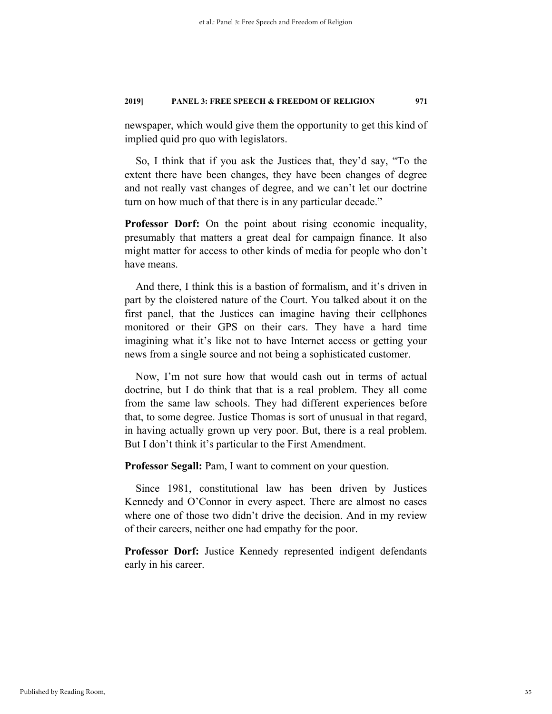newspaper, which would give them the opportunity to get this kind of implied quid pro quo with legislators.

So, I think that if you ask the Justices that, they'd say, "To the extent there have been changes, they have been changes of degree and not really vast changes of degree, and we can't let our doctrine turn on how much of that there is in any particular decade."

**Professor Dorf:** On the point about rising economic inequality, presumably that matters a great deal for campaign finance. It also might matter for access to other kinds of media for people who don't have means.

And there, I think this is a bastion of formalism, and it's driven in part by the cloistered nature of the Court. You talked about it on the first panel, that the Justices can imagine having their cellphones monitored or their GPS on their cars. They have a hard time imagining what it's like not to have Internet access or getting your news from a single source and not being a sophisticated customer.

Now, I'm not sure how that would cash out in terms of actual doctrine, but I do think that that is a real problem. They all come from the same law schools. They had different experiences before that, to some degree. Justice Thomas is sort of unusual in that regard, in having actually grown up very poor. But, there is a real problem. But I don't think it's particular to the First Amendment.

**Professor Segall:** Pam, I want to comment on your question.

Since 1981, constitutional law has been driven by Justices Kennedy and O'Connor in every aspect. There are almost no cases where one of those two didn't drive the decision. And in my review of their careers, neither one had empathy for the poor.

**Professor Dorf:** Justice Kennedy represented indigent defendants early in his career.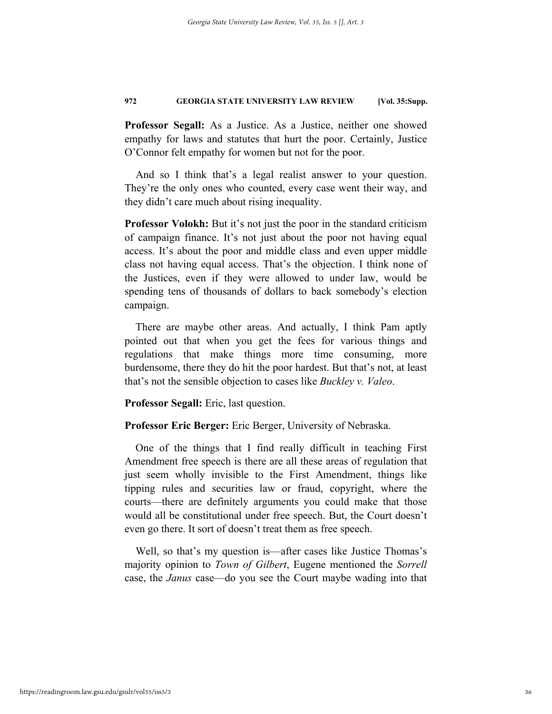**Professor Segall:** As a Justice. As a Justice, neither one showed empathy for laws and statutes that hurt the poor. Certainly, Justice O'Connor felt empathy for women but not for the poor.

And so I think that's a legal realist answer to your question. They're the only ones who counted, every case went their way, and they didn't care much about rising inequality.

**Professor Volokh:** But it's not just the poor in the standard criticism of campaign finance. It's not just about the poor not having equal access. It's about the poor and middle class and even upper middle class not having equal access. That's the objection. I think none of the Justices, even if they were allowed to under law, would be spending tens of thousands of dollars to back somebody's election campaign.

There are maybe other areas. And actually, I think Pam aptly pointed out that when you get the fees for various things and regulations that make things more time consuming, more burdensome, there they do hit the poor hardest. But that's not, at least that's not the sensible objection to cases like *Buckley v. Valeo*.

**Professor Segall:** Eric, last question.

**Professor Eric Berger:** Eric Berger, University of Nebraska.

One of the things that I find really difficult in teaching First Amendment free speech is there are all these areas of regulation that just seem wholly invisible to the First Amendment, things like tipping rules and securities law or fraud, copyright, where the courts—there are definitely arguments you could make that those would all be constitutional under free speech. But, the Court doesn't even go there. It sort of doesn't treat them as free speech.

Well, so that's my question is—after cases like Justice Thomas's majority opinion to *Town of Gilbert*, Eugene mentioned the *Sorrell*  case, the *Janus* case—do you see the Court maybe wading into that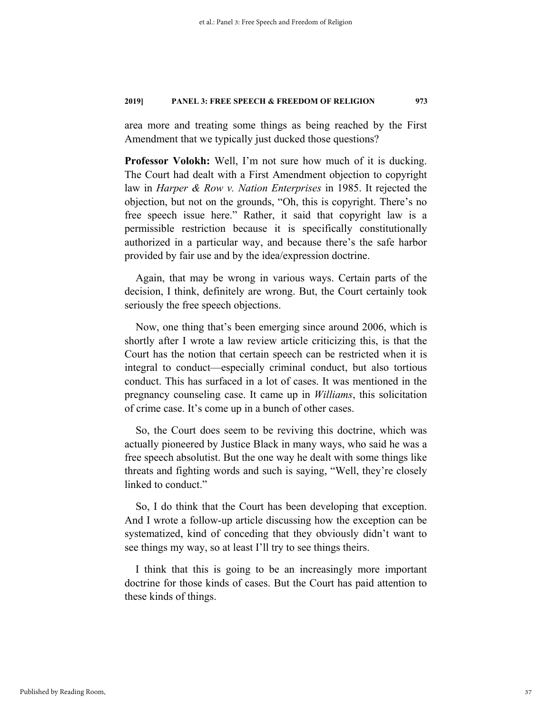area more and treating some things as being reached by the First Amendment that we typically just ducked those questions?

**Professor Volokh:** Well, I'm not sure how much of it is ducking. The Court had dealt with a First Amendment objection to copyright law in *Harper & Row v. Nation Enterprises* in 1985. It rejected the objection, but not on the grounds, "Oh, this is copyright. There's no free speech issue here." Rather, it said that copyright law is a permissible restriction because it is specifically constitutionally authorized in a particular way, and because there's the safe harbor provided by fair use and by the idea/expression doctrine.

Again, that may be wrong in various ways. Certain parts of the decision, I think, definitely are wrong. But, the Court certainly took seriously the free speech objections.

Now, one thing that's been emerging since around 2006, which is shortly after I wrote a law review article criticizing this, is that the Court has the notion that certain speech can be restricted when it is integral to conduct—especially criminal conduct, but also tortious conduct. This has surfaced in a lot of cases. It was mentioned in the pregnancy counseling case. It came up in *Williams*, this solicitation of crime case. It's come up in a bunch of other cases.

So, the Court does seem to be reviving this doctrine, which was actually pioneered by Justice Black in many ways, who said he was a free speech absolutist. But the one way he dealt with some things like threats and fighting words and such is saying, "Well, they're closely linked to conduct."

So, I do think that the Court has been developing that exception. And I wrote a follow-up article discussing how the exception can be systematized, kind of conceding that they obviously didn't want to see things my way, so at least I'll try to see things theirs.

I think that this is going to be an increasingly more important doctrine for those kinds of cases. But the Court has paid attention to these kinds of things.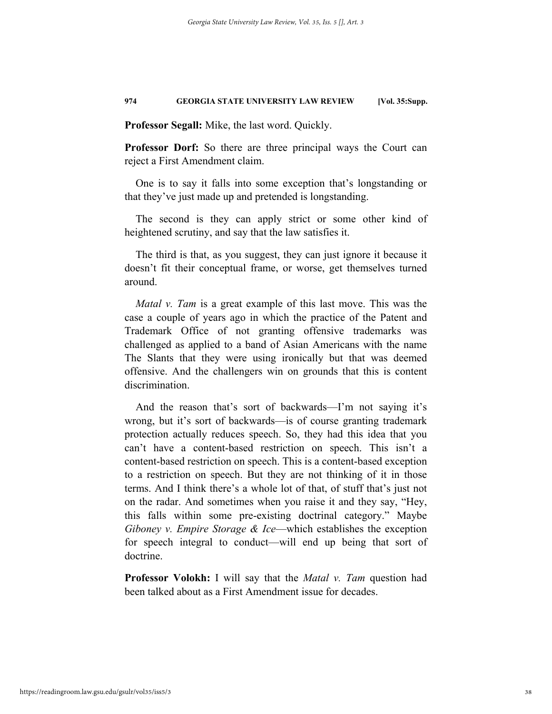**Professor Segall:** Mike, the last word. Quickly.

**Professor Dorf:** So there are three principal ways the Court can reject a First Amendment claim.

One is to say it falls into some exception that's longstanding or that they've just made up and pretended is longstanding.

The second is they can apply strict or some other kind of heightened scrutiny, and say that the law satisfies it.

The third is that, as you suggest, they can just ignore it because it doesn't fit their conceptual frame, or worse, get themselves turned around.

*Matal v. Tam* is a great example of this last move. This was the case a couple of years ago in which the practice of the Patent and Trademark Office of not granting offensive trademarks was challenged as applied to a band of Asian Americans with the name The Slants that they were using ironically but that was deemed offensive. And the challengers win on grounds that this is content discrimination.

And the reason that's sort of backwards—I'm not saying it's wrong, but it's sort of backwards—is of course granting trademark protection actually reduces speech. So, they had this idea that you can't have a content-based restriction on speech. This isn't a content-based restriction on speech. This is a content-based exception to a restriction on speech. But they are not thinking of it in those terms. And I think there's a whole lot of that, of stuff that's just not on the radar. And sometimes when you raise it and they say, "Hey, this falls within some pre-existing doctrinal category." Maybe *Giboney v. Empire Storage & Ice*—which establishes the exception for speech integral to conduct—will end up being that sort of doctrine.

**Professor Volokh:** I will say that the *Matal v. Tam* question had been talked about as a First Amendment issue for decades.